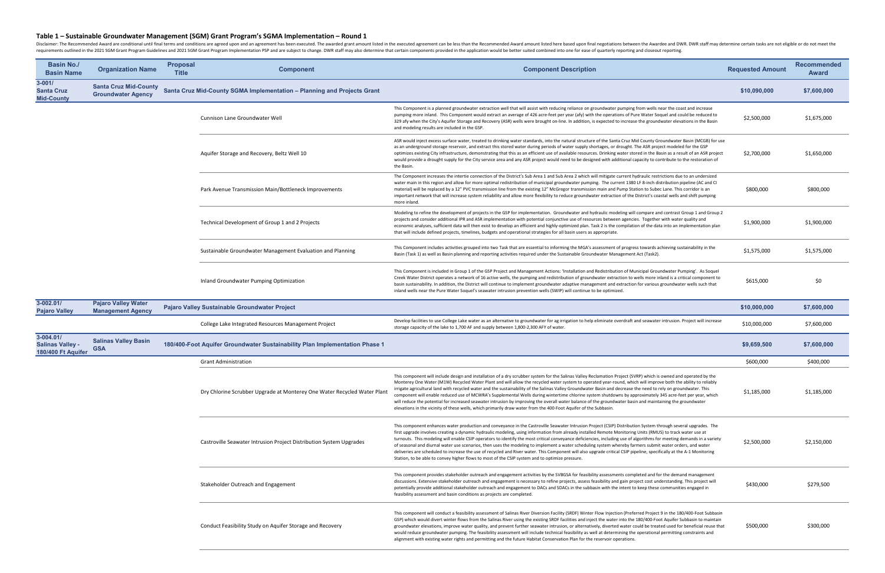| <b>Basin No./</b><br><b>Basin Name</b>                     | <b>Organization Name</b>                                  | <b>Proposal</b><br><b>Title</b> | <b>Component</b>                                                            | <b>Component Description</b>                                                                                                                                                                                                                                                                                                                                                                                                                                                                                                                                                                                                                                                                                                                                                                                                                                                                                                                            | <b>Requested Amount</b> | <b>Recommended</b><br><b>Award</b> |
|------------------------------------------------------------|-----------------------------------------------------------|---------------------------------|-----------------------------------------------------------------------------|---------------------------------------------------------------------------------------------------------------------------------------------------------------------------------------------------------------------------------------------------------------------------------------------------------------------------------------------------------------------------------------------------------------------------------------------------------------------------------------------------------------------------------------------------------------------------------------------------------------------------------------------------------------------------------------------------------------------------------------------------------------------------------------------------------------------------------------------------------------------------------------------------------------------------------------------------------|-------------------------|------------------------------------|
| $3 - 001/$<br><b>Santa Cruz</b><br><b>Mid-County</b>       | <b>Santa Cruz Mid-County</b><br><b>Groundwater Agency</b> |                                 | Santa Cruz Mid-County SGMA Implementation - Planning and Projects Grant     |                                                                                                                                                                                                                                                                                                                                                                                                                                                                                                                                                                                                                                                                                                                                                                                                                                                                                                                                                         | \$10,090,000            | \$7,600,000                        |
|                                                            |                                                           |                                 | Cunnison Lane Groundwater Well                                              | This Component is a planned groundwater extraction well that will assist with reducing reliance on groundwater pumping from wells near the coast and increase<br>pumping more inland. This Component would extract an average of 426 acre-feet per year (afy) with the operations of Pure Water Soquel and could be reduced to<br>329 afy when the City's Aquifer Storage and Recovery (ASR) wells were brought on-line. In addition, is expected to increase the groundwater elevations in the Basin<br>and modeling results are included in the GSP.                                                                                                                                                                                                                                                                                                                                                                                                  | \$2,500,000             | \$1,675,000                        |
|                                                            |                                                           |                                 | Aquifer Storage and Recovery, Beltz Well 10                                 | ASR would inject excess surface water, treated to drinking water standards, into the natural structure of the Santa Cruz Mid County Groundwater Basin (MCGB) for use<br>as an underground storage reservoir, and extract this stored water during periods of water supply shortages, or drought. The ASR project modeled for the GSP<br>optimizes existing City infrastructure, demonstrating that this as an efficient use of available resources. Drinking water stored in the Basin as a result of an ASR project<br>would provide a drought supply for the City service area and any ASR project would need to be designed with additional capacity to contribute to the restoration of<br>the Basin.                                                                                                                                                                                                                                               | \$2,700,000             | \$1,650,000                        |
|                                                            |                                                           |                                 | Park Avenue Transmission Main/Bottleneck Improvements                       | The Component increases the intertie connection of the District's Sub Area 1 and Sub Area 2 which will mitigate current hydraulic restrictions due to an undersized<br>water main in this region and allow for more optimal redistribution of municipal groundwater pumping. The current 1380 LF 8-inch distribution pipeline (AC and CI<br>material) will be replaced by a 12" PVC transmission line from the existing 12" McGregor transmission main and Pump Station to Subec Lane. This corridor is an<br>important network that will increase system reliability and allow more flexibility to reduce groundwater extraction of the District's coastal wells and shift pumping<br>more inland.                                                                                                                                                                                                                                                     | \$800,000               | \$800,000                          |
|                                                            |                                                           |                                 | Technical Development of Group 1 and 2 Projects                             | Modeling to refine the development of projects in the GSP for implementation. Groundwater and hydraulic modeling will compare and contrast Group 1 and Group 2<br>projects and consider additional IPR and ASR implementation with potential conjunctive use of resources between agencies. Together with water quality and<br>economic analyses, sufficient data will then exist to develop an efficient and highly-optimized plan. Task 2 is the compilation of the data into an implementation plan<br>that will include defined projects, timelines, budgets and operational strategies for all basin users as appropriate.                                                                                                                                                                                                                                                                                                                         | \$1,900,000             | \$1,900,000                        |
|                                                            |                                                           |                                 | Sustainable Groundwater Management Evaluation and Planning                  | This Component includes activities grouped into two Task that are essential to informing the MGA's assessment of progress towards achieving sustainability in the<br>Basin (Task 1) as well as Basin planning and reporting activities required under the Sustainable Groundwater Management Act (Task2).                                                                                                                                                                                                                                                                                                                                                                                                                                                                                                                                                                                                                                               | \$1,575,000             | \$1,575,000                        |
|                                                            |                                                           |                                 | Inland Groundwater Pumping Optimization                                     | This Component is included in Group 1 of the GSP Project and Management Actions: 'Installation and Redistribution of Municipal Groundwater Pumping'. As Soquel<br>Creek Water District operates a network of 16 active wells, the pumping and redistribution of groundwater extraction to wells more inland is a critical component to<br>basin sustainability. In addition, the District will continue to implement groundwater adaptive management and extraction for various groundwater wells such that<br>inland wells near the Pure Water Soquel's seawater intrusion prevention wells (SWIP) will continue to be optimized.                                                                                                                                                                                                                                                                                                                      | \$615,000               | \$0                                |
| 3-002.01/<br><b>Pajaro Valley</b>                          | <b>Pajaro Valley Water</b><br><b>Management Agency</b>    |                                 | <b>Pajaro Valley Sustainable Groundwater Project</b>                        |                                                                                                                                                                                                                                                                                                                                                                                                                                                                                                                                                                                                                                                                                                                                                                                                                                                                                                                                                         | \$10,000,000            | \$7,600,000                        |
|                                                            |                                                           |                                 | College Lake Integrated Resources Management Project                        | Develop facilities to use College Lake water as an alternative to groundwater for ag irrigation to help eliminate overdraft and seawater intrusion. Project will increase<br>storage capacity of the lake to 1,700 AF and supply between 1,800-2,300 AFY of water.                                                                                                                                                                                                                                                                                                                                                                                                                                                                                                                                                                                                                                                                                      | \$10,000,000            | \$7,600,000                        |
| 3-004.01/<br><b>Salinas Valley -</b><br>180/400 Ft Aquifer | <b>Salinas Valley Basin</b><br><b>GSA</b>                 |                                 | 180/400-Foot Aquifer Groundwater Sustainability Plan Implementation Phase 1 |                                                                                                                                                                                                                                                                                                                                                                                                                                                                                                                                                                                                                                                                                                                                                                                                                                                                                                                                                         | \$9,659,500             | \$7,600,000                        |
|                                                            |                                                           |                                 | <b>Grant Administration</b>                                                 |                                                                                                                                                                                                                                                                                                                                                                                                                                                                                                                                                                                                                                                                                                                                                                                                                                                                                                                                                         | \$600,000               | \$400,000                          |
|                                                            |                                                           |                                 | Dry Chlorine Scrubber Upgrade at Monterey One Water Recycled Water Plant    | This component will include design and installation of a dry scrubber system for the Salinas Valley Reclamation Project (SVRP) which is owned and operated by the<br>Monterey One Water (M1W) Recycled Water Plant and will allow the recycled water system to operated year-round, which will improve both the ability to reliably<br>irrigate agricultural land with recycled water and the sustainability of the Salinas Valley Groundwater Basin and decrease the need to rely on groundwater. This<br>component will enable reduced use of MCWRA's Supplemental Wells during wintertime chlorine system shutdowns by approximately 345 acre-feet per year, which<br>will reduce the potential for increased seawater intrusion by improving the overall water balance of the groundwater basin and maintaining the groundwater<br>elevations in the vicinity of these wells, which primarily draw water from the 400-Foot Aquifer of the Subbasin. | \$1,185,000             | \$1,185,000                        |
|                                                            |                                                           |                                 | Castroville Seawater Intrusion Project Distribution System Upgrades         | This component enhances water production and conveyance in the Castroville Seawater Intrusion Project (CSIP) Distribution System through several upgrades. The<br>first upgrade involves creating a dynamic hydraulic modeling, using information from already installed Remote Monitoring Units (RMUS) to track water use at<br>turnouts. This modeling will enable CSIP operators to identify the most critical conveyance deficiencies, including use of algorithms for meeting demands in a variety<br>of seasonal and diurnal water use scenarios, then uses the modeling to implement a water scheduling system whereby farmers submit water orders, and water<br>deliveries are scheduled to increase the use of recycled and River water. This Component will also upgrade critical CSIP pipeline, specifically at the A-1 Monitoring<br>Station, to be able to convey higher flows to most of the CSIP system and to optimize pressure.        | \$2,500,000             | \$2,150,000                        |
|                                                            |                                                           |                                 | Stakeholder Outreach and Engagement                                         | This component provides stakeholder outreach and engagement activities by the SVBGSA for feasibility assessments completed and for the demand management<br>discussions. Extensive stakeholder outreach and engagement is necessary to refine projects, assess feasibility and gain project cost understanding. This project will<br>potentially provide additional stakeholder outreach and engagement to DACs and SDACs in the subbasin with the intent to keep these communities engaged in<br>feasibility assessment and basin conditions as projects are completed.                                                                                                                                                                                                                                                                                                                                                                                | \$430,000               | \$279,500                          |
|                                                            |                                                           |                                 | Conduct Feasibility Study on Aquifer Storage and Recovery                   | This component will conduct a feasibility assessment of Salinas River Diversion Facility (SRDF) Winter Flow Injection (Preferred Project 9 in the 180/400-Foot Subbasin<br>GSP) which would divert winter flows from the Salinas River using the existing SRDF facilities and inject the water into the 180/400-Foot Aquifer Subbasin to maintain<br>groundwater elevations, improve water quality, and prevent further seawater intrusion, or alternatively, diverted water could be treated used for beneficial reuse that<br>would reduce groundwater pumping. The feasibility assessment will include technical feasibility as well at determining the operational permitting constraints and<br>alignment with existing water rights and permitting and the future Habitat Conservation Plan for the reservoir operations.                                                                                                                         | \$500,000               | \$300,000                          |

## **Table 1 – Sustainable Groundwater Management (SGM) Grant Program's SGMA Implementation – Round 1**

Disclaimer: The Recommended Award are conditional until final terms and conditions are agreed upon and an agreement has been executed. The awarded grant amount listed in the Recommended Award amount listed here based upon requirements outlined in the 2021 SGM Grant Program Guidelines and 2021 SGM Grant Program Implementation PSP and are subject to change. DWR staff may also determine that certain components provided in the application would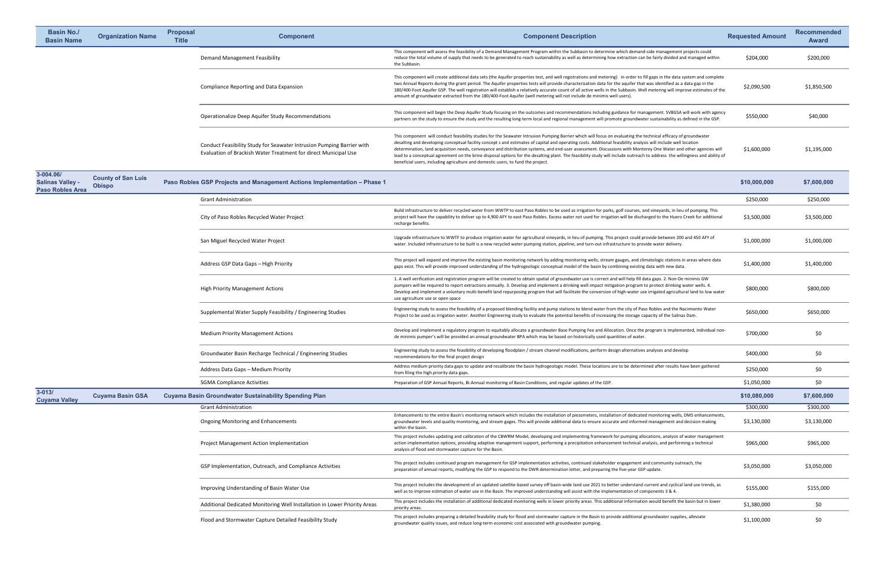| <b>Basin No./</b><br><b>Basin Name</b>                          | <b>Organization Name</b>                   | <b>Proposal</b><br><b>Title</b> | <b>Component</b>                                                                                                                         | <b>Component Description</b>                                                                                                                                                                                                                                                                                                                                                                                                                                                                                                                                                                                                                                                                                                                                              | <b>Requested Amount</b> | <b>Recommended</b><br><b>Award</b> |
|-----------------------------------------------------------------|--------------------------------------------|---------------------------------|------------------------------------------------------------------------------------------------------------------------------------------|---------------------------------------------------------------------------------------------------------------------------------------------------------------------------------------------------------------------------------------------------------------------------------------------------------------------------------------------------------------------------------------------------------------------------------------------------------------------------------------------------------------------------------------------------------------------------------------------------------------------------------------------------------------------------------------------------------------------------------------------------------------------------|-------------------------|------------------------------------|
|                                                                 |                                            |                                 | <b>Demand Management Feasibility</b>                                                                                                     | This component will assess the feasibility of a Demand Management Program within the Subbasin to determine which demand-side management projects could<br>reduce the total volume of supply that needs to be generated to reach sustainability as well as determining how extraction can be fairly divided and managed within<br>the Subbasin.                                                                                                                                                                                                                                                                                                                                                                                                                            | \$204,000               | \$200,000                          |
|                                                                 |                                            |                                 | <b>Compliance Reporting and Data Expansion</b>                                                                                           | This component will create additional data sets (the Aquifer properties test, and well registrations and metering) in order to fill gaps in the data system and complete<br>two Annual Reports during the grant period. The Aquifer properties tests will provide characterization data for the aquifer that was identified as a data gap in the<br>180/400-Foot Aquifer GSP. The well registration will establish a relatively accurate count of all active wells in the Subbasin. Well metering will improve estimates of the<br>amount of groundwater extracted from the 180/400-Foot Aquifer (well metering will not include de minimis well users).                                                                                                                  | \$2,090,500             | \$1,850,500                        |
|                                                                 |                                            |                                 | Operationalize Deep Aquifer Study Recommendations                                                                                        | This component will begin the Deep Aquifer Study focusing on the outcomes and recommendations including guidance for management. SVBGSA will work with agency<br>partners on the study to ensure the study and the resulting long-term local and regional management will promote groundwater sustainability as defined in the GSP.                                                                                                                                                                                                                                                                                                                                                                                                                                       | \$550,000               | \$40,000                           |
|                                                                 |                                            |                                 | Conduct Feasibility Study for Seawater Intrusion Pumping Barrier with<br>Evaluation of Brackish Water Treatment for direct Municipal Use | This component will conduct feasibility studies for the Seawater Intrusion Pumping Barrier which will focus on evaluating the technical efficacy of groundwater<br>desalting and developing conceptual facility concept s and estimates of capital and operating costs. Additional feasibility analysis will include well location<br>determination, land acquisition needs, conveyance and distribution systems, and end-user assessment. Discussions with Monterey One Water and other agencies will<br>lead to a conceptual agreement on the brine disposal options for the desalting plant. The feasibility study will include outreach to address the willingness and ability of<br>beneficial users, including agriculture and domestic users, to fund the project. | \$1,600,000             | \$1,195,000                        |
| 3-004.06/<br><b>Salinas Valley -</b><br><b>Paso Robles Area</b> | <b>County of San Luis</b><br><b>Obispo</b> |                                 | Paso Robles GSP Projects and Management Actions Implementation - Phase 1                                                                 |                                                                                                                                                                                                                                                                                                                                                                                                                                                                                                                                                                                                                                                                                                                                                                           | \$10,000,000            | \$7,600,000                        |
|                                                                 |                                            |                                 | <b>Grant Administration</b>                                                                                                              |                                                                                                                                                                                                                                                                                                                                                                                                                                                                                                                                                                                                                                                                                                                                                                           | \$250,000               | \$250,000                          |
|                                                                 |                                            |                                 | City of Paso Robles Recycled Water Project                                                                                               | Build infrastructure to deliver recycled water from WWTP to east Paso Robles to be used as irrigation for parks, golf courses, and vineyards, in lieu of pumping. This<br>project will have the capability to deliver up to 4,900 AFY to east Paso Robles. Excess water not used for irrigation will be discharged to the Huero Creek for additional<br>recharge benefits.                                                                                                                                                                                                                                                                                                                                                                                                | \$3,500,000             | \$3,500,000                        |
|                                                                 |                                            |                                 | San Miguel Recycled Water Project                                                                                                        | Upgrade infrastructure to WWTF to produce irrigation water for agricultural vineyards, in lieu of pumping. This project could provide between 200 and 450 AFY of<br>water. Included infrastructure to be built is a new recycled water pumping station, pipeline, and turn-out infrastructure to provide water delivery.                                                                                                                                                                                                                                                                                                                                                                                                                                                  | \$1,000,000             | \$1,000,000                        |
|                                                                 |                                            |                                 | Address GSP Data Gaps - High Priority                                                                                                    | This project will expand and improve the existing basin monitoring network by adding monitoring wells, stream gauges, and climatologic stations in areas where data<br>gaps exist. This will provide improved understanding of the hydrogeologic conceptual model of the basin by combining existing data with new data.                                                                                                                                                                                                                                                                                                                                                                                                                                                  | \$1,400,000             | \$1,400,000                        |
|                                                                 |                                            |                                 | <b>High Priority Management Actions</b>                                                                                                  | 1. A well verification and registration program will be created to obtain spatial of groundwater use is correct and will help fill data gaps. 2. Non-De minimis GW<br>pumpers will be required to report extractions annually. 3. Develop and implement a drinking well impact mitigation program to protect drinking water wells. 4.<br>Develop and implement a voluntary multi-benefit land repurposing program that will facilitate the conversion of high-water use irrigated agricultural land to low water<br>use agriculture use or open space                                                                                                                                                                                                                     | \$800,000               | \$800,000                          |
|                                                                 |                                            |                                 | Supplemental Water Supply Feasibility / Engineering Studies                                                                              | Engineering study to assess the feasibility of a proposed blending facility and pump stations to blend water from the city of Paso Robles and the Nacimiento Water<br>Project to be used as irrigation water. Another Engineering study to evaluate the potential benefits of increasing the storage capacity of the Salinas Dam.                                                                                                                                                                                                                                                                                                                                                                                                                                         | \$650,000               | \$650,000                          |
|                                                                 |                                            |                                 | <b>Medium Priority Management Actions</b>                                                                                                | Develop and implement a regulatory program to equitably allocate a groundwater Base Pumping Fee and Allocation. Once the program is implemented, individual non-<br>de minimis pumper's will be provided an annual groundwater BPA which may be based on historically used quantities of water.                                                                                                                                                                                                                                                                                                                                                                                                                                                                           | \$700,000               | \$0                                |
|                                                                 |                                            |                                 | Groundwater Basin Recharge Technical / Engineering Studies                                                                               | Engineering study to assess the feasibility of developing floodplain / stream channel modifications, perform design alternatives analyses and develop<br>recommendations for the final project design                                                                                                                                                                                                                                                                                                                                                                                                                                                                                                                                                                     | \$400,000               | \$0                                |
|                                                                 |                                            |                                 | Address Data Gaps - Medium Priority                                                                                                      | Address medium priority data gaps to update and recalibrate the basin hydrogeologic model. These locations are to be determined after results have been gathered<br>from filing the high priority data gaps.                                                                                                                                                                                                                                                                                                                                                                                                                                                                                                                                                              | \$250,000               | \$0                                |
| $3 - 013/$                                                      |                                            |                                 | <b>SGMA Compliance Activities</b>                                                                                                        | Preparation of GSP Annual Reports, Bi-Annual monitoring of Basin Conditions, and regular updates of the GSP.                                                                                                                                                                                                                                                                                                                                                                                                                                                                                                                                                                                                                                                              | \$1,050,000             | \$0                                |
| <b>Cuyama Valley</b>                                            | <b>Cuyama Basin GSA</b>                    |                                 | <b>Cuyama Basin Groundwater Sustainability Spending Plan</b>                                                                             |                                                                                                                                                                                                                                                                                                                                                                                                                                                                                                                                                                                                                                                                                                                                                                           | \$10,080,000            | \$7,600,000                        |
|                                                                 |                                            |                                 | <b>Grant Administration</b>                                                                                                              |                                                                                                                                                                                                                                                                                                                                                                                                                                                                                                                                                                                                                                                                                                                                                                           | \$300,000               | \$300,000                          |
|                                                                 |                                            |                                 | <b>Ongoing Monitoring and Enhancements</b>                                                                                               | Enhancements to the entire Basin's monitoring network which includes the installation of piezometers, installation of dedicated monitoring wells, DMS enhancements,<br>groundwater levels and quality monitoring, and stream gages. This will provide additional data to ensure accurate and informed management and decision making<br>within the basin                                                                                                                                                                                                                                                                                                                                                                                                                  | \$3,130,000             | \$3,130,000                        |
|                                                                 |                                            |                                 | <b>Project Management Action Implementation</b>                                                                                          | This project includes updating and calibration of the CBWRM Model, developing and implementing framework for pumping allocations, analysis of water management<br>action implementation options, providing adaptive management support, performing a precipitation enhancement technical analysis, and performing a technical<br>analysis of flood and stormwater capture for the Basin.                                                                                                                                                                                                                                                                                                                                                                                  | \$965,000               | \$965,000                          |
|                                                                 |                                            |                                 | GSP Implementation, Outreach, and Compliance Activities                                                                                  | This project includes continued program management for GSP implementation activities, continued stakeholder engagement and community outreach, the<br>preparation of annual reports, modifying the GSP to respond to the DWR determination letter, and preparing the five-year GSP update.                                                                                                                                                                                                                                                                                                                                                                                                                                                                                | \$3,050,000             | \$3,050,000                        |
|                                                                 |                                            |                                 | Improving Understanding of Basin Water Use                                                                                               | This project includes the development of an updated satellite-based survey off basin-wide land use 2021 to better understand current and cyclical land use trends, as<br>well as to improve estimation of water use in the Basin. The improved understanding will assist with the implementation of components 3 & 4.                                                                                                                                                                                                                                                                                                                                                                                                                                                     | \$155,000               | \$155,000                          |
|                                                                 |                                            |                                 | Additional Dedicated Monitoring Well Installation in Lower Priority Areas                                                                | This project includes the installation of additional dedicated monitoring wells in lower priority areas. This additional information would benefit the basin but in lower<br>priority areas.                                                                                                                                                                                                                                                                                                                                                                                                                                                                                                                                                                              | \$1,380,000             | \$0                                |
|                                                                 |                                            |                                 | Flood and Stormwater Capture Detailed Feasibility Study                                                                                  | This project includes preparing a detailed feasibility study for flood and stormwater capture in the Basin to provide additional groundwater supplies, alleviate<br>groundwater quality issues, and reduce long-term economic cost associated with groundwater pumping.                                                                                                                                                                                                                                                                                                                                                                                                                                                                                                   | \$1,100,000             | \$0                                |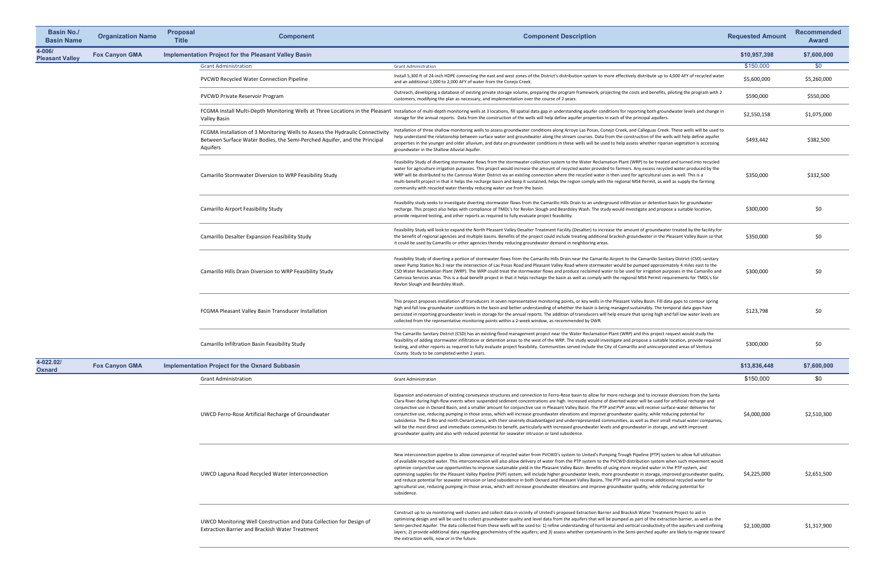| <b>Basin No./</b><br><b>Basin Name</b> | <b>Organization Name</b> | <b>Proposal</b><br><b>Title</b> | <b>Component</b>                                                                                                                                                       | <b>Component Description</b>                                                                                                                                                                                                                                                                                                                                                                                                                                                                                                                                                                                                                                                                                                                                                                                                                                                                                                                                                                                                                                                                                    | <b>Requested Amount</b> | <b>Recommended</b><br><b>Award</b> |
|----------------------------------------|--------------------------|---------------------------------|------------------------------------------------------------------------------------------------------------------------------------------------------------------------|-----------------------------------------------------------------------------------------------------------------------------------------------------------------------------------------------------------------------------------------------------------------------------------------------------------------------------------------------------------------------------------------------------------------------------------------------------------------------------------------------------------------------------------------------------------------------------------------------------------------------------------------------------------------------------------------------------------------------------------------------------------------------------------------------------------------------------------------------------------------------------------------------------------------------------------------------------------------------------------------------------------------------------------------------------------------------------------------------------------------|-------------------------|------------------------------------|
| 4-006/<br><b>Pleasant Valley</b>       | <b>Fox Canyon GMA</b>    |                                 | <b>Implementation Project for the Pleasant Valley Basin</b>                                                                                                            |                                                                                                                                                                                                                                                                                                                                                                                                                                                                                                                                                                                                                                                                                                                                                                                                                                                                                                                                                                                                                                                                                                                 | \$10,957,398            | \$7,600,000                        |
|                                        |                          |                                 | <b>Grant Administration</b>                                                                                                                                            | <b>Grant Administration</b>                                                                                                                                                                                                                                                                                                                                                                                                                                                                                                                                                                                                                                                                                                                                                                                                                                                                                                                                                                                                                                                                                     | \$150,000               | \$0                                |
|                                        |                          |                                 | <b>PVCWD Recycled Water Connection Pipeline</b>                                                                                                                        | Install 5,300 ft of 24-inch HDPE connecting the east and west zones of the District's distribution system to more effectively distribute up to 4,000 AFY of recycled water<br>and an additional 1,000 to 2,000 AFY of water from the Conejo Creek.                                                                                                                                                                                                                                                                                                                                                                                                                                                                                                                                                                                                                                                                                                                                                                                                                                                              | \$5,600,000             | \$5,260,000                        |
|                                        |                          |                                 | PVCWD Private Reservoir Program                                                                                                                                        | Outreach, developing a database of existing private storage volume, preparing the program framework, projecting the costs and benefits, piloting the program with 2<br>customers, modifying the plan as necessary, and implementation over the course of 2 years.                                                                                                                                                                                                                                                                                                                                                                                                                                                                                                                                                                                                                                                                                                                                                                                                                                               | \$590,000               | \$550,000                          |
|                                        |                          |                                 | <b>Valley Basin</b>                                                                                                                                                    | FCGMA Install Multi-Depth Monitoring Wells at Three Locations in the Pleasant Installation of multi-depth monitoring wells at 3 locations, fill spatial data gap in understanding aquifer conditions for reporting both ground<br>storage for the annual reports. Data from the construction of the wells will help define aquifer properties in each of the principal aquifers.                                                                                                                                                                                                                                                                                                                                                                                                                                                                                                                                                                                                                                                                                                                                | \$2,550,158             | \$1,075,000                        |
|                                        |                          |                                 | FCGMA Installation of 3 Monitoring Wells to Assess the Hydraulic Connectivity<br>Between Surface Water Bodies, the Semi-Perched Aquifer, and the Principal<br>Aquifers | Installation of three shallow monitoring wells to assess groundwater conditions along Arroyo Las Posas, Conejo Creek, and Calleguas Creek. These wells will be used to<br>help understand the relationship between surface water and groundwater along the stream courses. Data from the construction of the wells will help define aquifer<br>properties in the younger and older alluvium, and data on groundwater conditions in these wells will be used to help assess whether riparian vegetation is accessing<br>groundwater in the Shallow Alluvial Aquifer.                                                                                                                                                                                                                                                                                                                                                                                                                                                                                                                                             | \$493,442               | \$382,500                          |
|                                        |                          |                                 | Camarillo Stormwater Diversion to WRP Feasibility Study                                                                                                                | Feasibility Study of diverting stormwater flows from the stormwater collection system to the Water Reclamation Plant (WRP) to be treated and turned into recycled<br>water for agriculture irrigation purposes. This project would increase the amount of recycled water provided to farmers. Any excess recycled water produced by the<br>WRP will be distributed to the Camrosa Water District via an existing connection where the recycled water is then used for agricultural uses as well. This is a<br>multi-benefit project in that it helps the recharge basin and keep it sustained, helps the region comply with the regional MS4 Permit, as well as supply the farming<br>community with recycled water thereby reducing water use from the basin.                                                                                                                                                                                                                                                                                                                                                  | \$350,000               | \$332,500                          |
|                                        |                          |                                 | Camarillo Airport Feasibility Study                                                                                                                                    | Feasibility study seeks to investigate diverting stormwater flows from the Camarillo Hills Drain to an underground infiltration or detention basin for groundwater<br>recharge. This project also helps with compliance of TMDL's for Revlon Slough and Beardsley Wash. The study would investigate and propose a suitable location,<br>provide required testing, and other reports as required to fully evaluate project feasibility.                                                                                                                                                                                                                                                                                                                                                                                                                                                                                                                                                                                                                                                                          | \$300,000               | \$0                                |
|                                        |                          |                                 | <b>Camarillo Desalter Expansion Feasibility Study</b>                                                                                                                  | Feasibility Study will look to expand the North Pleasant Valley Desalter Treatment Facility (Desalter) to increase the amount of groundwater treated by the facility for<br>the benefit of regional agencies and multiple basins. Benefits of the project could include treating additional brackish groundwater in the Pleasant Valley Basin so that<br>it could be used by Camarillo or other agencies thereby reducing groundwater demand in neighboring areas.                                                                                                                                                                                                                                                                                                                                                                                                                                                                                                                                                                                                                                              | \$350,000               | \$0                                |
|                                        |                          |                                 | Camarillo Hills Drain Diversion to WRP Feasibility Study                                                                                                               | Feasibility Study of diverting a portion of stormwater flows from the Camarillo Hills Drain near the Camarillo Airport to the Camarillo Sanitary District (CSD) sanitary<br>sewer Pump Station No.3 near the intersection of Las Posas Road and Pleasant Valley Road where stormwater would be pumped approximately 4 miles east to the<br>CSD Water Reclamation Plant (WRP). The WRP could treat the stormwater flows and produce reclaimed water to be used for irrigation purposes in the Camarillo and<br>Camrosa Services areas. This is a dual benefit project in that it helps recharge the basin as well as comply with the regional MS4 Permit requirements for TMDL's for<br>Revlon Slough and Beardsley Wash.                                                                                                                                                                                                                                                                                                                                                                                        | \$300,000               | \$0                                |
|                                        |                          |                                 | FCGMA Pleasant Valley Basin Transducer Installation                                                                                                                    | This project proposes installation of transducers in seven representative monitoring points, or key wells in the Pleasant Valley Basin. Fill data gaps to contour spring<br>high and fall low groundwater conditions in the basin and better understanding of whether the basin is being managed sustainably. The temporal data gaps have<br>persisted in reporting groundwater levels in storage for the annual reports. The addition of transducers will help ensure that spring high and fall low water levels are<br>collected from the representative monitoring points within a 2-week window, as recommended by DWR.                                                                                                                                                                                                                                                                                                                                                                                                                                                                                     | \$123,798               | \$0                                |
|                                        |                          |                                 | <b>Camarillo Infiltration Basin Feasibility Study</b>                                                                                                                  | The Camarillo Sanitary District (CSD) has an existing flood management project near the Water Reclamation Plant (WRP) and this project request would study the<br>feasibility of adding stormwater infiltration or detention areas to the west of the WRP. The study would investigate and propose a suitable location, provide required<br>testing, and other reports as required to fully evaluate project feasibility. Communities served include the City of Camarillo and unincorporated areas of Ventura<br>County. Study to be completed within 2 years.                                                                                                                                                                                                                                                                                                                                                                                                                                                                                                                                                 | \$300,000               | \$0                                |
| 4-022.02/<br><b>Oxnard</b>             | <b>Fox Canyon GMA</b>    |                                 | <b>Implementation Project for the Oxnard Subbasin</b>                                                                                                                  |                                                                                                                                                                                                                                                                                                                                                                                                                                                                                                                                                                                                                                                                                                                                                                                                                                                                                                                                                                                                                                                                                                                 | \$13,836,448            | \$7,600,000                        |
|                                        |                          |                                 | <b>Grant Administration</b>                                                                                                                                            | <b>Grant Administration</b>                                                                                                                                                                                                                                                                                                                                                                                                                                                                                                                                                                                                                                                                                                                                                                                                                                                                                                                                                                                                                                                                                     | \$150,000               | \$0                                |
|                                        |                          |                                 | UWCD Ferro-Rose Artificial Recharge of Groundwater                                                                                                                     | Expansion and extension of existing conveyance structures and connection to Ferro-Rose basin to allow for more recharge and to increase diversions from the Santa<br>Clara River during high-flow events when suspended sediment concentrations are high. Increased volume of diverted water will be used for artificial recharge and<br>conjunctive use in Oxnard Basin, and a smaller amount for conjunctive use in Pleasant Valley Basin. The PTP and PVP areas will receive surface-water deliveries for<br>conjunctive use, reducing pumping in those areas, which will increase groundwater elevations and improve groundwater quality, while reducing potential for<br>subsidence. The El Rio and north Oxnard areas, with their severely disadvantaged and underrepresented communities, as well as their small mutual water companies,<br>will be the most direct and immediate communities to benefit, particularly with increased groundwater levels and groundwater in storage, and with improved<br>groundwater quality and also with reduced potential for seawater intrusion or land subsidence. | \$4,000,000             | \$2,510,300                        |
|                                        |                          |                                 | UWCD Laguna Road Recycled Water Interconnection                                                                                                                        | New interconnection pipeline to allow conveyance of recycled water from PVCWD's system to United's Pumping Trough Pipeline (PTP) system to allow full utilization<br>of available recycled water. This interconnection will also allow delivery of water from the PTP system to the PVCWD distribution system when such movement would<br>optimize conjunctive use opportunities to improve sustainable yield in the Pleasant Valley Basin. Benefits of using more recycled water in the PTP system, and<br>optimizing supplies for the Pleasant Valley Pipeline (PVP) system, will include higher groundwater levels, more groundwater in storage, improved groundwater quality,<br>and reduce potential for seawater intrusion or land subsidence in both Oxnard and Pleasant Valley Basins. The PTP area will receive additional recycled water for<br>agricultural use, reducing pumping in those areas, which will increase groundwater elevations and improve groundwater quality, while reducing potential for<br>subsidence.                                                                            | \$4,225,000             | \$2,651,500                        |
|                                        |                          |                                 | UWCD Monitoring Well Construction and Data Collection for Design of<br><b>Extraction Barrier and Brackish Water Treatment</b>                                          | Construct up to six monitoring well clusters and collect data in vicinity of United's proposed Extraction Barrier and Brackish Water Treatment Project to aid in<br>optimizing design and will be used to collect groundwater quality and level data from the aquifers that will be pumped as part of the extraction barrier, as well as the<br>Semi-perched Aquifer. The data collected from these wells will be used to: 1) refine understanding of horizontal and vertical conductivity of the aquifers and confining<br>layers; 2) provide additional data regarding geochemistry of the aquifers; and 3) assess whether contaminants in the Semi-perched aquifer are likely to migrate toward<br>the extraction wells, now or in the future.                                                                                                                                                                                                                                                                                                                                                               | \$2,100,000             | \$1,317,900                        |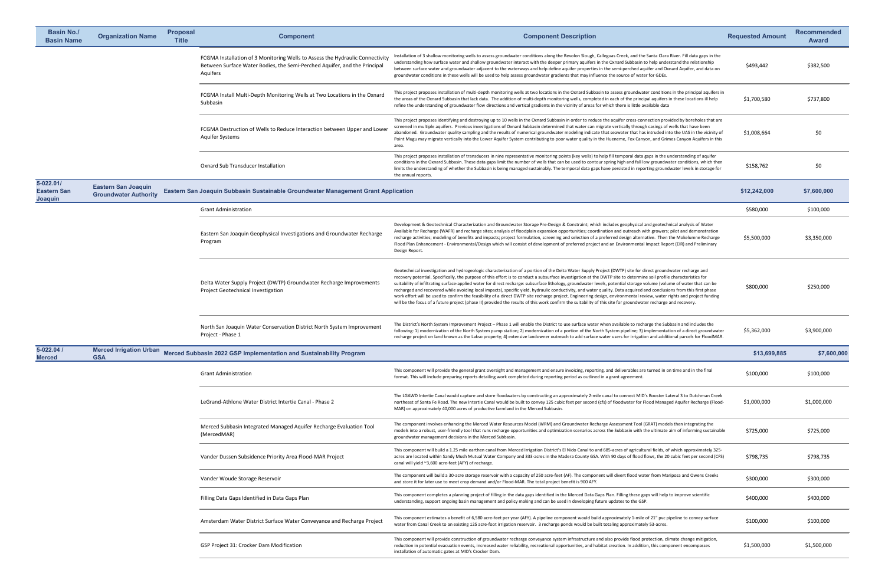| <b>Basin No./</b><br><b>Basin Name</b>     | <b>Organization Name</b>                                   | <b>Proposal</b><br><b>Title</b> | <b>Component</b>                                                                                                                                                       | <b>Component Description</b>                                                                                                                                                                                                                                                                                                                                                                                                                                                                                                                                                                                                                                                                                                                                                                                                                                                                                                                                                                                                        | <b>Requested Amount</b> | <b>Recommended</b><br><b>Award</b> |
|--------------------------------------------|------------------------------------------------------------|---------------------------------|------------------------------------------------------------------------------------------------------------------------------------------------------------------------|-------------------------------------------------------------------------------------------------------------------------------------------------------------------------------------------------------------------------------------------------------------------------------------------------------------------------------------------------------------------------------------------------------------------------------------------------------------------------------------------------------------------------------------------------------------------------------------------------------------------------------------------------------------------------------------------------------------------------------------------------------------------------------------------------------------------------------------------------------------------------------------------------------------------------------------------------------------------------------------------------------------------------------------|-------------------------|------------------------------------|
|                                            |                                                            |                                 | FCGMA Installation of 3 Monitoring Wells to Assess the Hydraulic Connectivity<br>Between Surface Water Bodies, the Semi-Perched Aquifer, and the Principal<br>Aquifers | Installation of 3 shallow monitoring wells to assess groundwater conditions along the Revolon Slough, Calleguas Creek, and the Santa Clara River. Fill data gaps in the<br>understanding how surface water and shallow groundwater interact with the deeper primary aquifers in the Oxnard Subbasin to help understand the relationship<br>between surface water and groundwater adjacent to the waterways and help define aquifer properties in the semi-perched aquifer and Oxnard Aquifer, and data on<br>groundwater conditions in these wells will be used to help assess groundwater gradients that may influence the source of water for GDEs.                                                                                                                                                                                                                                                                                                                                                                               | \$493,442               | \$382,500                          |
|                                            |                                                            |                                 | FCGMA Install Multi-Depth Monitoring Wells at Two Locations in the Oxnard<br>Subbasin                                                                                  | This project proposes installation of multi-depth monitoring wells at two locations in the Oxnard Subbasin to assess groundwater conditions in the principal aquifers in<br>the areas of the Oxnard Subbasin that lack data. The addition of multi-depth monitoring wells, completed in each of the principal aquifers in these locations ill help<br>refine the understanding of groundwater flow directions and vertical gradients in the vicinity of areas for which there is little available data                                                                                                                                                                                                                                                                                                                                                                                                                                                                                                                              | \$1,700,580             | \$737,800                          |
|                                            |                                                            |                                 | FCGMA Destruction of Wells to Reduce Interaction between Upper and Lower<br><b>Aquifer Systems</b>                                                                     | This project proposes identifying and destroying up to 10 wells in the Oxnard Subbasin in order to reduce the aquifer cross-connection provided by boreholes that are<br>screened in multiple aquifers. Previous investigations of Oxnard Subbasin determined that water can migrate vertically through casings of wells that have been<br>abandoned. Groundwater quality sampling and the results of numerical groundwater modeling indicate that seawater that has intruded into the UAS in the vicinity of<br>Point Mugu may migrate vertically into the Lower Aquifer System contributing to poor water quality in the Hueneme, Fox Canyon, and Grimes Canyon Aquifers in this<br>area.                                                                                                                                                                                                                                                                                                                                         | \$1,008,664             | \$0                                |
|                                            |                                                            |                                 | <b>Oxnard Sub Transducer Installation</b>                                                                                                                              | This project proposes installation of transducers in nine representative monitoring points (key wells) to help fill temporal data gaps in the understanding of aquifer<br>conditions in the Oxnard Subbasin. These data gaps limit the number of wells that can be used to contour spring high and fall low groundwater conditions, which then<br>limits the understanding of whether the Subbasin is being managed sustainably. The temporal data gaps have persisted in reporting groundwater levels in storage for<br>the annual reports.                                                                                                                                                                                                                                                                                                                                                                                                                                                                                        | \$158,762               | \$0                                |
| 5-022.01/<br><b>Eastern San</b><br>Joaquin | <b>Eastern San Joaquin</b><br><b>Groundwater Authority</b> |                                 | Eastern San Joaquin Subbasin Sustainable Groundwater Management Grant Application                                                                                      |                                                                                                                                                                                                                                                                                                                                                                                                                                                                                                                                                                                                                                                                                                                                                                                                                                                                                                                                                                                                                                     | \$12,242,000            | \$7,600,000                        |
|                                            |                                                            |                                 | <b>Grant Administration</b>                                                                                                                                            |                                                                                                                                                                                                                                                                                                                                                                                                                                                                                                                                                                                                                                                                                                                                                                                                                                                                                                                                                                                                                                     | \$580,000               | \$100,000                          |
|                                            |                                                            |                                 | Eastern San Joaquin Geophysical Investigations and Groundwater Recharge<br>Program                                                                                     | Development & Geotechnical Characterization and Groundwater Storage Pre-Design & Constraint; which includes geophysical and geotechnical analysis of Water<br>Available for Recharge (WAFR) and recharge sites; analysis of floodplain expansion opportunities; coordination and outreach with growers; pilot and demonstration<br>recharge activities; modeling of benefits and impacts; project formulation, screening and selection of a preferred design alternative. Then the Mokelumne Recharge<br>Flood Plan Enhancement - Environmental/Design which will consist of development of preferred project and an Environmental Impact Report (EIR) and Preliminary<br>Design Report.                                                                                                                                                                                                                                                                                                                                            | \$5,500,000             | \$3,350,000                        |
|                                            |                                                            |                                 | Delta Water Supply Project (DWTP) Groundwater Recharge Improvements<br><b>Project Geotechnical Investigation</b>                                                       | Geotechnical investigation and hydrogeologic characterization of a portion of the Delta Water Supply Project (DWTP) site for direct groundwater recharge and<br>recovery potential. Specifically, the purpose of this effort is to conduct a subsurface investigation at the DWTP site to determine soil profile characteristics for<br>suitability of infiltrating surface-applied water for direct recharge: subsurface lithology, groundwater levels, potential storage volume (volume of water that can be<br>recharged and recovered while avoiding local impacts), specific yield, hydraulic conductivity, and water quality. Data acquired and conclusions from this first phase<br>work effort will be used to confirm the feasibility of a direct DWTP site recharge project. Engineering design, environmental review, water rights and project funding<br>will be the focus of a future project (phase II) provided the results of this work confirm the suitability of this site for groundwater recharge and recovery. | \$800,000               | \$250,000                          |
|                                            |                                                            |                                 | North San Joaquin Water Conservation District North System Improvement<br>Project - Phase 1                                                                            | The District's North System Improvement Project - Phase 1 will enable the District to use surface water when available to recharge the Subbasin and includes the<br>following: 1) modernization of the North System pump station; 2) modernization of a portion of the North System pipeline; 3) implementation of a direct groundwater<br>recharge project on land known as the Lakso property; 4) extensive landowner outreach to add surface water users for irrigation and additional parcels for FloodMAR.                                                                                                                                                                                                                                                                                                                                                                                                                                                                                                                     | \$5,362,000             | \$3,900,000                        |
| $5 - 022.04/$<br><b>Merced</b>             | <b>Merced Irrigation Urban</b><br><b>GSA</b>               |                                 | Merced Subbasin 2022 GSP Implementation and Sustainability Program                                                                                                     |                                                                                                                                                                                                                                                                                                                                                                                                                                                                                                                                                                                                                                                                                                                                                                                                                                                                                                                                                                                                                                     | \$13,699,885            | \$7,600,000                        |
|                                            |                                                            |                                 | <b>Grant Administration</b>                                                                                                                                            | This component will provide the general grant oversight and management and ensure invoicing, reporting, and deliverables are turned in on time and in the final<br>format. This will include preparing reports detailing work completed during reporting period as outlined in a grant agreement.                                                                                                                                                                                                                                                                                                                                                                                                                                                                                                                                                                                                                                                                                                                                   | \$100,000               | \$100,000                          |
|                                            |                                                            |                                 | LeGrand-Athlone Water District Intertie Canal - Phase 2                                                                                                                | The LGAWD Intertie Canal would capture and store floodwaters by constructing an approximately 2-mile canal to connect MID's Booster Lateral 3 to Dutchman Creek<br>northeast of Santa Fe Road. The new Intertie Canal would be built to convey 125 cubic feet per second (cfs) of floodwater for Flood Managed Aquifer Recharge (Flood-<br>MAR) on approximately 40,000 acres of productive farmland in the Merced Subbasin.                                                                                                                                                                                                                                                                                                                                                                                                                                                                                                                                                                                                        | \$1,000,000             | \$1,000,000                        |
|                                            |                                                            |                                 | Merced Subbasin Integrated Managed Aquifer Recharge Evaluation Tool<br>(MercedMAR)                                                                                     | The component involves enhancing the Merced Water Resources Model (WRM) and Groundwater Recharge Assessment Tool (GRAT) models then integrating the<br>models into a robust, user-friendly tool that runs recharge opportunities and optimization scenarios across the Subbasin with the ultimate aim of informing sustainable<br>groundwater management decisions in the Merced Subbasin.                                                                                                                                                                                                                                                                                                                                                                                                                                                                                                                                                                                                                                          | \$725,000               | \$725,000                          |
|                                            |                                                            |                                 | Vander Dussen Subsidence Priority Area Flood-MAR Project                                                                                                               | This component will build a 1.25 mile earthen canal from Merced Irrigation District's El Nido Canal to and 685-acres of agricultural fields, of which approximately 325-<br>acres are located within Sandy Mush Mutual Water Company and 333-acres in the Madera County GSA. With 90 days of flood flows, the 20 cubic feet per second (CFS)<br>canal will yield ~3,600 acre-feet (AFY) of recharge.                                                                                                                                                                                                                                                                                                                                                                                                                                                                                                                                                                                                                                | \$798,735               | \$798,735                          |
|                                            |                                                            |                                 | Vander Woude Storage Reservoir                                                                                                                                         | The component will build a 30-acre storage reservoir with a capacity of 250 acre-feet (AF). The component will divert flood water from Mariposa and Owens Creeks<br>and store it for later use to meet crop demand and/or Flood-MAR. The total project benefit is 900 AFY.                                                                                                                                                                                                                                                                                                                                                                                                                                                                                                                                                                                                                                                                                                                                                          | \$300,000               | \$300,000                          |
|                                            |                                                            |                                 | Filling Data Gaps Identified in Data Gaps Plan                                                                                                                         | This component completes a planning project of filling in the data gaps identified in the Merced Data Gaps Plan. Filling these gaps will help to improve scientific<br>understanding, support ongoing basin management and policy making and can be used in developing future updates to the GSP.                                                                                                                                                                                                                                                                                                                                                                                                                                                                                                                                                                                                                                                                                                                                   | \$400,000               | \$400,000                          |
|                                            |                                                            |                                 | Amsterdam Water District Surface Water Conveyance and Recharge Project                                                                                                 | This component estimates a benefit of 6,580 acre-feet per year (AFY). A pipeline component would build approximately 1-mile of 21" pvc pipeline to convey surface<br>water from Canal Creek to an existing 125 acre-foot irrigation reservoir. 3 recharge ponds would be built totaling approximately 53-acres.                                                                                                                                                                                                                                                                                                                                                                                                                                                                                                                                                                                                                                                                                                                     | \$100,000               | \$100,000                          |
|                                            |                                                            |                                 | GSP Project 31: Crocker Dam Modification                                                                                                                               | This component will provide construction of groundwater recharge conveyance system infrastructure and also provide flood protection, climate change mitigation,<br>reduction in potential evacuation events, increased water reliability, recreational opportunities, and habitat creation. In addition, this component encompasses<br>installation of automatic gates at MID's Crocker Dam.                                                                                                                                                                                                                                                                                                                                                                                                                                                                                                                                                                                                                                        | \$1,500,000             | \$1,500,000                        |
|                                            |                                                            |                                 |                                                                                                                                                                        |                                                                                                                                                                                                                                                                                                                                                                                                                                                                                                                                                                                                                                                                                                                                                                                                                                                                                                                                                                                                                                     |                         |                                    |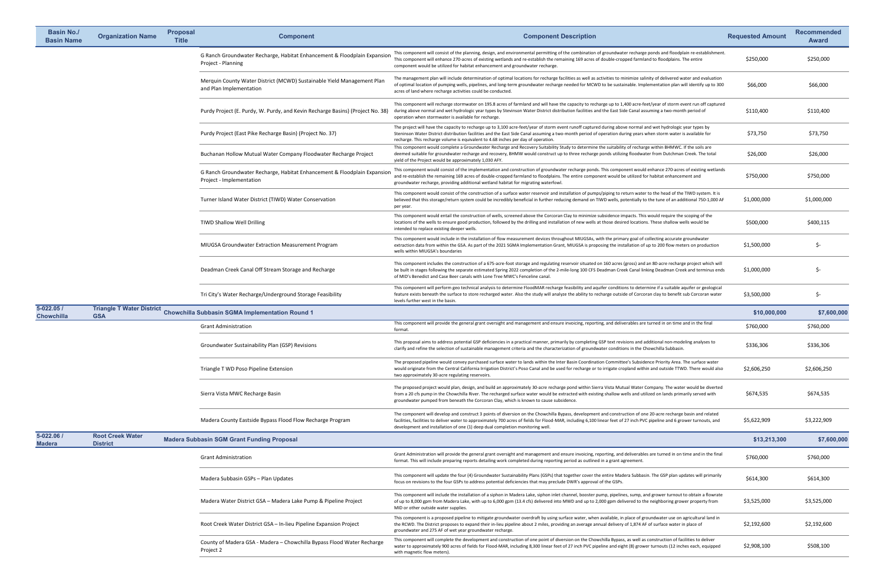| <b>Basin No./</b><br><b>Basin Name</b> | <b>Organization Name</b>                   | <b>Proposal</b><br><b>Title</b> | <b>Component</b>                                                                                     | <b>Component Description</b>                                                                                                                                                                                                                                                                                                                                                                                                    | <b>Requested Amount</b> | <b>Recommended</b><br><b>Award</b> |
|----------------------------------------|--------------------------------------------|---------------------------------|------------------------------------------------------------------------------------------------------|---------------------------------------------------------------------------------------------------------------------------------------------------------------------------------------------------------------------------------------------------------------------------------------------------------------------------------------------------------------------------------------------------------------------------------|-------------------------|------------------------------------|
|                                        |                                            |                                 | G Ranch Groundwater Recharge, Habitat Enhancement & Floodplain Expansior<br>Project - Planning       | This component will consist of the planning, design, and environmental permitting of the combination of groundwater recharge ponds and floodplain re-establishment.<br>This component will enhance 270-acres of existing wetlands and re-establish the remaining 169 acres of double-cropped farmland to floodplains. The entire<br>component would be utilized for habitat enhancement and groundwater recharge.               | \$250,000               | \$250,000                          |
|                                        |                                            |                                 | Merquin County Water District (MCWD) Sustainable Yield Management Plan<br>and Plan Implementation    | The management plan will include determination of optimal locations for recharge facilities as well as activities to minimize salinity of delivered water and evaluation<br>of optimal location of pumping wells, pipelines, and long-term groundwater recharge needed for MCWD to be sustainable. Implementation plan will identify up to 300<br>acres of land where recharge activities could be conducted.                   | \$66,000                | \$66,000                           |
|                                        |                                            |                                 | Purdy Project (E. Purdy, W. Purdy, and Kevin Recharge Basins) (Project No. 38)                       | This component will recharge stormwater on 195.8 acres of farmland and will have the capacity to recharge up to 1,400 acre-feet/year of storm event run off captured<br>during above normal and wet hydrologic year types by Stevinson Water District distribution facilities and the East Side Canal assuming a two-month period of<br>operation when stormwater is available for recharge.                                    | \$110,400               | \$110,400                          |
|                                        |                                            |                                 | Purdy Project (East Pike Recharge Basin) (Project No. 37)                                            | The project will have the capacity to recharge up to 3,100 acre-feet/year of storm event runoff captured during above normal and wet hydrologic year types by<br>Steninson Water District distribution facilities and the East Side Canal assuming a two-month period of operation during years when storm water is available for<br>recharge. This recharge volume is equivalent to 4.68 inches per day of operation           | \$73,750                | \$73,750                           |
|                                        |                                            |                                 | Buchanan Hollow Mutual Water Company Floodwater Recharge Project                                     | This component would complete a Groundwater Recharge and Recovery Suitability Study to determine the suitability of recharge within BHMWC. If the soils are<br>deemed suitable for groundwater recharge and recovery, BHMW would construct up to three recharge ponds utilizing floodwater from Dutchman Creek. The total<br>yield of the Project would be approximately 1,030 AFY.                                             | \$26,000                | \$26,000                           |
|                                        |                                            |                                 | G Ranch Groundwater Recharge, Habitat Enhancement & Floodplain Expansion<br>Project - Implementation | This component would consist of the implementation and construction of groundwater recharge ponds. This component would enhance 270-acres of existing wetlands<br>and re-establish the remaining 169 acres of double-cropped farmland to floodplains. The entire component would be utilized for habitat enhancement and<br>groundwater recharge, providing additional wetland habitat for migrating waterfowl.                 | \$750,000               | \$750,000                          |
|                                        |                                            |                                 | Turner Island Water District (TIWD) Water Conservation                                               | This component would consist of the construction of a surface water reservoir and installation of pumps/piping to return water to the head of the TIWD system. It is<br>believed that this storage/return system could be incredibly beneficial in further reducing demand on TIWD wells, potentially to the tune of an additional 750-1,000 AF<br>per year.                                                                    | \$1,000,000             | \$1,000,000                        |
|                                        |                                            |                                 | <b>TIWD Shallow Well Drilling</b>                                                                    | This component would entail the construction of wells, screened above the Corcoran Clay to minimize subsidence impacts. This would require the scoping of the<br>locations of the wells to ensure good production, followed by the drilling and installation of new wells at those desired locations. These shallow wells would be<br>intended to replace existing deeper wells.                                                | \$500,000               | \$400,115                          |
|                                        |                                            |                                 | MIUGSA Groundwater Extraction Measurement Program                                                    | This component would include in the installation of flow measurement devices throughout MIUGSAs, with the primary goal of collecting accurate groundwater<br>extraction data from within the GSA. As part of the 2021 SGMA Implementation Grant, MIUGSA is proposing the installation of up to 200 flow meters on production<br>wells within MIUGSA's boundaries                                                                | \$1,500,000             | S-                                 |
|                                        |                                            |                                 | Deadman Creek Canal Off Stream Storage and Recharge                                                  | This component includes the construction of a 675-acre-foot storage and regulating reservoir situated on 160 acres (gross) and an 80-acre recharge project which will<br>be built in stages following the separate estimated Spring 2022 completion of the 2-mile-long 100 CFS Deadman Creek Canal linking Deadman Creek and terminus ends<br>of MID's Benedict and Case Beer canals with Lone Tree MWC's Fenceline canal       | \$1,000,000             | S-                                 |
|                                        |                                            |                                 | Tri City's Water Recharge/Underground Storage Feasibility                                            | This component will perform geo technical analysis to determine FloodMAR recharge feasibility and aquifer conditions to determine if a suitable aquifer or geological<br>feature exists beneath the surface to store recharged water. Also the study will analyze the ability to recharge outside of Corcoran clay to benefit sub Corcoran water<br>levels further west in the basin.                                           | \$3,500,000             | \$-                                |
| $5 - 022.05/$<br><b>Chowchilla</b>     | <b>GSA</b>                                 |                                 | Triangle T Water District Chowchilla Subbasin SGMA Implementation Round 1                            |                                                                                                                                                                                                                                                                                                                                                                                                                                 | \$10,000,000            | \$7,600,000                        |
|                                        |                                            |                                 | <b>Grant Administration</b>                                                                          | This component will provide the general grant oversight and management and ensure invoicing, reporting, and deliverables are turned in on time and in the final<br>format.                                                                                                                                                                                                                                                      | \$760,000               | \$760,000                          |
|                                        |                                            |                                 | Groundwater Sustainability Plan (GSP) Revisions                                                      | This proposal aims to address potential GSP deficiencies in a practical manner, primarily by completing GSP text revisions and additional non-modeling analyses to<br>clarify and refine the selection of sustainable management criteria and the characterization of groundwater conditions in the Chowchilla Subbasin.                                                                                                        | \$336,306               | \$336,306                          |
|                                        |                                            |                                 | Triangle T WD Poso Pipeline Extension                                                                | The proposed pipeline would convey purchased surface water to lands within the Inter Basin Coordination Committee's Subsidence Priority Area. The surface water<br>would originate from the Central California Irrigation District's Poso Canal and be used for recharge or to irrigate cropland within and outside TTWD. There would also<br>two approximately 30-acre regulating reservoirs.                                  | \$2,606,250             | \$2,606,250                        |
|                                        |                                            |                                 | Sierra Vista MWC Recharge Basin                                                                      | The proposed project would plan, design, and build an approximately 30-acre recharge pond within Sierra Vista Mutual Water Company. The water would be diverted<br>from a 20 cfs pump in the Chowchilla River. The recharged surface water would be extracted with existing shallow wells and utilized on lands primarily served with<br>groundwater pumped from beneath the Corcoran Clay, which is known to cause subsidence. | \$674,535               | \$674,535                          |
|                                        |                                            |                                 | Madera County Eastside Bypass Flood Flow Recharge Program                                            | The component will develop and construct 3 points of diversion on the Chowchilla Bypass, development and construction of one 20-acre recharge basin and related<br>facilities, facilities to deliver water to approximately 700 acres of fields for Flood-MAR, including 6,100 linear feet of 27 inch PVC pipeline and 6 grower turnouts, and<br>development and installation of one (1) deep dual completion monitoring well.  | \$5,622,909             | \$3,222,909                        |
| 5-022.06 /<br><b>Madera</b>            | <b>Root Creek Water</b><br><b>District</b> |                                 | <b>Madera Subbasin SGM Grant Funding Proposal</b>                                                    |                                                                                                                                                                                                                                                                                                                                                                                                                                 | \$13,213,300            | \$7,600,000                        |
|                                        |                                            |                                 | <b>Grant Administration</b>                                                                          | Grant Administration will provide the general grant oversight and management and ensure invoicing, reporting, and deliverables are turned in on time and in the final<br>format. This will include preparing reports detailing work completed during reporting period as outlined in a grant agreement.                                                                                                                         | \$760,000               | \$760,000                          |
|                                        |                                            |                                 | Madera Subbasin GSPs - Plan Updates                                                                  | This component will update the four (4) Groundwater Sustainability Plans (GSPs) that together cover the entire Madera Subbasin. The GSP plan updates will primarily<br>focus on revisions to the four GSPs to address potential deficiencies that may preclude DWR's approval of the GSPs.                                                                                                                                      | \$614,300               | \$614,300                          |
|                                        |                                            |                                 | Madera Water District GSA - Madera Lake Pump & Pipeline Project                                      | This component will include the installation of a siphon in Madera Lake, siphon inlet channel, booster pump, pipelines, sump, and grower turnout to obtain a flowrate<br>of up to 8,000 gpm from Madera Lake, with up to 6,000 gpm (13.4 cfs) delivered into MWD and up to 2,000 gpm delivered to the neighboring grower property from<br>MID or other outside water supplies.                                                  | \$3,525,000             | \$3,525,000                        |
|                                        |                                            |                                 | Root Creek Water District GSA - In-lieu Pipeline Expansion Project                                   | This component is a proposed pipeline to mitigate groundwater overdraft by using surface water, when available, in place of groundwater use on agricultural land in<br>the RCWD. The District proposes to expand their in-lieu pipeline about 2 miles, providing an average annual delivery of 1,874 AF of surface water in place of<br>groundwater and 275 AF of wet year groundwater recharge.                                | \$2,192,600             | \$2,192,600                        |
|                                        |                                            |                                 | County of Madera GSA - Madera - Chowchilla Bypass Flood Water Recharge<br>Project 2                  | This component will complete the development and construction of one point of diversion on the Chowchilla Bypass, as well as construction of facilities to deliver<br>water to approximately 900 acres of fields for Flood-MAR, including 8,300 linear feet of 27 inch PVC pipeline and eight (8) grower turnouts (12 inches each, equipped<br>with magnetic flow meters).                                                      | \$2,908,100             | \$508,100                          |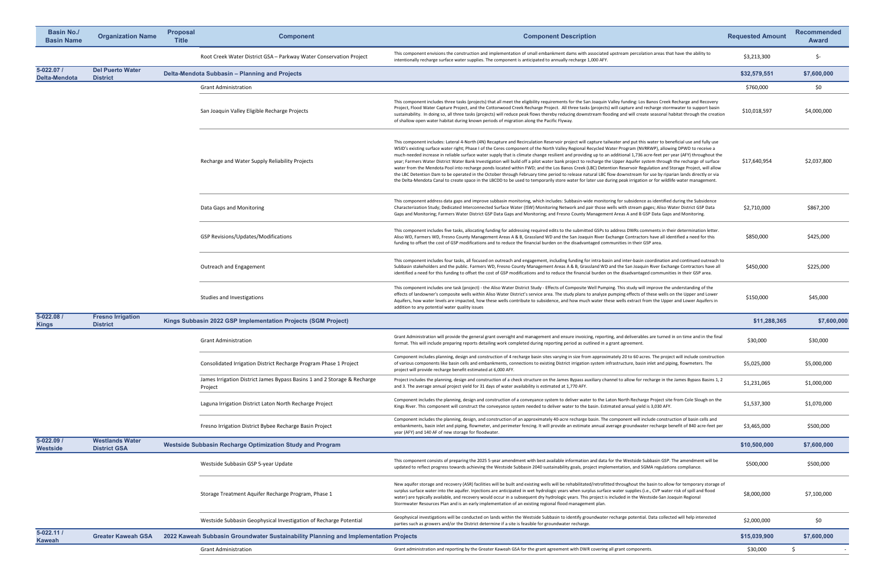| <b>Basin No./</b><br><b>Basin Name</b> | <b>Organization Name</b>                      | <b>Proposal</b><br><b>Title</b> | <b>Component</b>                                                                     | <b>Component Description</b>                                                                                                                                                                                                                                                                                                                                                                                                                                                                                                                                                                                                                                                                                                                                                                                                                                                                                                                                                                                                                                                                                                                                                                          | <b>Requested Amount</b> | <b>Recommended</b><br><b>Award</b> |
|----------------------------------------|-----------------------------------------------|---------------------------------|--------------------------------------------------------------------------------------|-------------------------------------------------------------------------------------------------------------------------------------------------------------------------------------------------------------------------------------------------------------------------------------------------------------------------------------------------------------------------------------------------------------------------------------------------------------------------------------------------------------------------------------------------------------------------------------------------------------------------------------------------------------------------------------------------------------------------------------------------------------------------------------------------------------------------------------------------------------------------------------------------------------------------------------------------------------------------------------------------------------------------------------------------------------------------------------------------------------------------------------------------------------------------------------------------------|-------------------------|------------------------------------|
|                                        |                                               |                                 | Root Creek Water District GSA - Parkway Water Conservation Project                   | This component envisions the construction and implementation of small embankment dams with associated upstream percolation areas that have the ability to<br>intentionally recharge surface water supplies. The component is anticipated to annually recharge 1,000 AFY.                                                                                                                                                                                                                                                                                                                                                                                                                                                                                                                                                                                                                                                                                                                                                                                                                                                                                                                              | \$3,213,300             | \$-                                |
| $5 - 022.07/$<br><b>Delta-Mendota</b>  | <b>Del Puerto Water</b><br><b>District</b>    |                                 | Delta-Mendota Subbasin - Planning and Projects                                       |                                                                                                                                                                                                                                                                                                                                                                                                                                                                                                                                                                                                                                                                                                                                                                                                                                                                                                                                                                                                                                                                                                                                                                                                       | \$32,579,551            | \$7,600,000                        |
|                                        |                                               |                                 | <b>Grant Administration</b>                                                          |                                                                                                                                                                                                                                                                                                                                                                                                                                                                                                                                                                                                                                                                                                                                                                                                                                                                                                                                                                                                                                                                                                                                                                                                       | \$760,000               | \$0                                |
|                                        |                                               |                                 | San Joaquin Valley Eligible Recharge Projects                                        | This component includes three tasks (projects) that all meet the eligibility requirements for the San Joaquin Valley funding: Los Banos Creek Recharge and Recovery<br>Project, Flood Water Capture Project, and the Cottonwood Creek Recharge Project. All three tasks (projects) will capture and recharge stormwater to support basin<br>sustainability. In doing so, all three tasks (projects) will reduce peak flows thereby reducing downstream flooding and will create seasonal habitat through the creation<br>of shallow open water habitat during known periods of migration along the Pacific Flyway.                                                                                                                                                                                                                                                                                                                                                                                                                                                                                                                                                                                    | \$10,018,597            | \$4,000,000                        |
|                                        |                                               |                                 | Recharge and Water Supply Reliability Projects                                       | This component includes: Lateral 4-North (4N) Recapture and Recirculation Reservoir project will capture tailwater and put this water to beneficial use and fully use<br>WSID's existing surface water right; Phase I of the Ceres component of the North Valley Regional Recycled Water Program (NVRRWP), allowing DPWD to receive a<br>much-needed increase in reliable surface water supply that is climate change resilient and providing up to an additional 1,736 acre-feet per year (AFY) throughout the<br>year; Farmers Water District Water Bank Investigation will build off a pilot water bank project to recharge the Upper Aquifer system through the recharge of surface<br>water from the Mendota Pool into recharge ponds located within FWD; and the Los Banos Creek (LBC) Detention Reservoir Regulation and Storage Project, will allow<br>the LBC Detention Dam to be operated in the October through February time period to release natural LBC flow downstream for use by riparian lands directly or via<br>the Delta-Mendota Canal to create space in the LBCDD to be used to temporarily store water for later use during peak irrigation or for wildlife water management. | \$17,640,954            | \$2,037,800                        |
|                                        |                                               |                                 | Data Gaps and Monitoring                                                             | This component address data gaps and improve subbasin monitoring, which includes: Subbasin-wide monitoring for subsidence as identified during the Subsidence<br>Characterization Study; Dedicated Interconnected Surface Water (ISW) Monitoring Network and pair those wells with stream gages; Aliso Water District GSP Data<br>Gaps and Monitoring; Farmers Water District GSP Data Gaps and Monitoring; and Fresno County Management Areas A and B GSP Data Gaps and Monitoring.                                                                                                                                                                                                                                                                                                                                                                                                                                                                                                                                                                                                                                                                                                                  | \$2,710,000             | \$867,200                          |
|                                        |                                               |                                 | <b>GSP Revisions/Updates/Modifications</b>                                           | This component includes five tasks, allocating funding for addressing required edits to the submitted GSPs to address DWRs comments in their determination letter.<br>Aliso WD, Farmers WD, Fresno County Management Areas A & B, Grassland WD and the San Joaquin River Exchange Contractors have all identified a need for this<br>funding to offset the cost of GSP modifications and to reduce the financial burden on the disadvantaged communities in their GSP area.                                                                                                                                                                                                                                                                                                                                                                                                                                                                                                                                                                                                                                                                                                                           | \$850,000               | \$425,000                          |
|                                        |                                               |                                 | <b>Outreach and Engagement</b>                                                       | This component includes four tasks, all focused on outreach and engagement, including funding for intra-basin and inter-basin coordination and continued outreach to<br>Subbasin stakeholders and the public. Farmers WD, Fresno County Management Areas A & B, Grassland WD and the San Joaquin River Exchange Contractors have all<br>identified a need for this funding to offset the cost of GSP modifications and to reduce the financial burden on the disadvantaged communities in their GSP area.                                                                                                                                                                                                                                                                                                                                                                                                                                                                                                                                                                                                                                                                                             | \$450,000               | \$225,000                          |
|                                        |                                               |                                 | Studies and Investigations                                                           | This component includes one task (project) - the Aliso Water District Study - Effects of Composite Well Pumping. This study will improve the understanding of the<br>effects of landowner's composite wells within Aliso Water District's service area. The study plans to analyze pumping effects of these wells on the Upper and Lower<br>Aquifers, how water levels are impacted, how these wells contribute to subsidence, and how much water these wells extract from the Upper and Lower Aquifers in<br>addition to any potential water quality issues                                                                                                                                                                                                                                                                                                                                                                                                                                                                                                                                                                                                                                          | \$150,000               | \$45,000                           |
| 5-022.08 /<br><b>Kings</b>             | <b>Fresno Irrigation</b><br><b>District</b>   |                                 | Kings Subbasin 2022 GSP Implementation Projects (SGM Project)                        |                                                                                                                                                                                                                                                                                                                                                                                                                                                                                                                                                                                                                                                                                                                                                                                                                                                                                                                                                                                                                                                                                                                                                                                                       | \$11,288,365            | \$7,600,000                        |
|                                        |                                               |                                 | <b>Grant Administration</b>                                                          | Grant Administration will provide the general grant oversight and management and ensure invoicing, reporting, and deliverables are turned in on time and in the final<br>format. This will include preparing reports detailing work completed during reporting period as outlined in a grant agreement.                                                                                                                                                                                                                                                                                                                                                                                                                                                                                                                                                                                                                                                                                                                                                                                                                                                                                               | \$30,000                | \$30,000                           |
|                                        |                                               |                                 | Consolidated Irrigation District Recharge Program Phase 1 Project                    | Component includes planning, design and construction of 4 recharge basin sites varying in size from approximately 20 to 60 acres. The project will include construction<br>of various components like basin cells and embankments, connections to existing District irrigation system infrastructure, basin inlet and piping, flowmeters. The<br>project will provide recharge benefit estimated at 6,000 AFY.                                                                                                                                                                                                                                                                                                                                                                                                                                                                                                                                                                                                                                                                                                                                                                                        | \$5,025,000             | \$5,000,000                        |
|                                        |                                               |                                 | James Irrigation District James Bypass Basins 1 and 2 Storage & Recharge<br>Project  | Project includes the planning, design and construction of a check structure on the James Bypass auxiliary channel to allow for recharge in the James Bypass Basins 1, 2<br>and 3. The average annual project yield for 31 days of water availability is estimated at 1,770 AFY.                                                                                                                                                                                                                                                                                                                                                                                                                                                                                                                                                                                                                                                                                                                                                                                                                                                                                                                       | \$1,231,065             | \$1,000,000                        |
|                                        |                                               |                                 | Laguna Irrigation District Laton North Recharge Project                              | Component includes the planning, design and construction of a conveyance system to deliver water to the Laton North Recharge Project site from Cole Slough on the<br>Kings River. This component will construct the conveyance system needed to deliver water to the basin. Estimated annual yield is 3,030 AFY.                                                                                                                                                                                                                                                                                                                                                                                                                                                                                                                                                                                                                                                                                                                                                                                                                                                                                      | \$1,537,300             | \$1,070,000                        |
|                                        |                                               |                                 | Fresno Irrigation District Bybee Recharge Basin Project                              | Component includes the planning, design, and construction of an approximately 40-acre recharge basin. The component will include construction of basin cells and<br>embankments, basin inlet and piping, flowmeter, and perimeter fencing. It will provide an estimate annual average groundwater recharge benefit of 840 acre-feet per<br>year (AFY) and 140 AF of new storage for floodwater.                                                                                                                                                                                                                                                                                                                                                                                                                                                                                                                                                                                                                                                                                                                                                                                                       | \$3,465,000             | \$500,000                          |
| 5-022.09 /<br><b>Westside</b>          | <b>Westlands Water</b><br><b>District GSA</b> |                                 | <b>Westside Subbasin Recharge Optimization Study and Program</b>                     |                                                                                                                                                                                                                                                                                                                                                                                                                                                                                                                                                                                                                                                                                                                                                                                                                                                                                                                                                                                                                                                                                                                                                                                                       | \$10,500,000            | \$7,600,000                        |
|                                        |                                               |                                 | Westside Subbasin GSP 5-year Update                                                  | This component consists of preparing the 2025 5-year amendment with best available information and data for the Westside Subbasin GSP. The amendment will be<br>updated to reflect progress towards achieving the Westside Subbasin 2040 sustainability goals, project implementation, and SGMA regulations compliance.                                                                                                                                                                                                                                                                                                                                                                                                                                                                                                                                                                                                                                                                                                                                                                                                                                                                               | \$500,000               | \$500,000                          |
|                                        |                                               |                                 | Storage Treatment Aquifer Recharge Program, Phase 1                                  | New aquifer storage and recovery (ASR) facilities will be built and existing wells will be rehabilitated/retrofitted throughout the basin to allow for temporary storage of<br>surplus surface water into the aquifer. Injections are anticipated in wet hydrologic years when surplus surface water supplies (i.e., CVP water risk of spill and flood<br>water) are typically available, and recovery would occur in a subsequent dry hydrologic years. This project is included in the Westside-San Joaquin Regional<br>Stormwater Resources Plan and is an early implementation of an existing regional flood management plan.                                                                                                                                                                                                                                                                                                                                                                                                                                                                                                                                                                     | \$8,000,000             | \$7,100,000                        |
|                                        |                                               |                                 | Westside Subbasin Geophysical Investigation of Recharge Potential                    | Geophysical investigations will be conducted on lands within the Westside Subbasin to identify groundwater recharge potential. Data collected will help interested<br>parties such as growers and/or the District determine if a site is feasible for groundwater recharge.                                                                                                                                                                                                                                                                                                                                                                                                                                                                                                                                                                                                                                                                                                                                                                                                                                                                                                                           | \$2,000,000             | \$0                                |
| $5 - 022.111$<br><b>Kaweah</b>         | <b>Greater Kaweah GSA</b>                     |                                 | 2022 Kaweah Subbasin Groundwater Sustainability Planning and Implementation Projects |                                                                                                                                                                                                                                                                                                                                                                                                                                                                                                                                                                                                                                                                                                                                                                                                                                                                                                                                                                                                                                                                                                                                                                                                       | \$15,039,900            | \$7,600,000                        |
|                                        |                                               |                                 | <b>Grant Administration</b>                                                          | Grant administration and reporting by the Greater Kaweah GSA for the grant agreement with DWR covering all grant components.                                                                                                                                                                                                                                                                                                                                                                                                                                                                                                                                                                                                                                                                                                                                                                                                                                                                                                                                                                                                                                                                          | \$30,000                |                                    |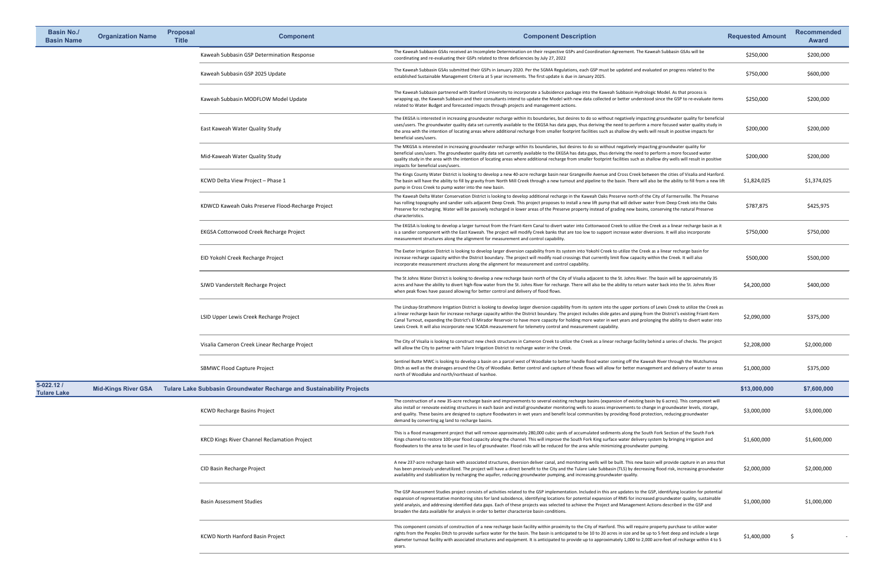| <b>Basin No./</b><br><b>Basin Name</b> | <b>Organization Name</b>   | <b>Proposal</b><br><b>Title</b> | <b>Component</b>                                                             | <b>Component Description</b>                                                                                                                                                                                                                                                                                                                                                                                                                                                                                                                                                                                                                        | <b>Requested Amount</b> | <b>Recommended</b><br><b>Award</b> |
|----------------------------------------|----------------------------|---------------------------------|------------------------------------------------------------------------------|-----------------------------------------------------------------------------------------------------------------------------------------------------------------------------------------------------------------------------------------------------------------------------------------------------------------------------------------------------------------------------------------------------------------------------------------------------------------------------------------------------------------------------------------------------------------------------------------------------------------------------------------------------|-------------------------|------------------------------------|
|                                        |                            |                                 | Kaweah Subbasin GSP Determination Response                                   | The Kaweah Subbasin GSAs received an Incomplete Determination on their respective GSPs and Coordination Agreement. The Kaweah Subbasin GSAs will be<br>coordinating and re-evaluating their GSPs related to three deficiencies by July 27, 2022                                                                                                                                                                                                                                                                                                                                                                                                     | \$250,000               | \$200,000                          |
|                                        |                            |                                 | Kaweah Subbasin GSP 2025 Update                                              | The Kaweah Subbasin GSAs submitted their GSPs in January 2020. Per the SGMA Regulations, each GSP must be updated and evaluated on progress related to the<br>established Sustainable Management Criteria at 5 year increments. The first update is due in January 2025.                                                                                                                                                                                                                                                                                                                                                                            | \$750,000               | \$600,000                          |
|                                        |                            |                                 | Kaweah Subbasin MODFLOW Model Update                                         | The Kaweah Subbasin partnered with Stanford University to incorporate a Subsidence package into the Kaweah Subbasin Hydrologic Model. As that process is<br>wrapping up, the Kaweah Subbasin and their consultants intend to update the Model with new data collected or better understood since the GSP to re-evaluate items<br>related to Water Budget and forecasted impacts through projects and management actions.                                                                                                                                                                                                                            | \$250,000               | \$200,000                          |
|                                        |                            |                                 | East Kaweah Water Quality Study                                              | The EKGSA is interested in increasing groundwater recharge within its boundaries, but desires to do so without negatively impacting groundwater quality for beneficial<br>uses/users. The groundwater quality data set currently available to the EKGSA has data gaps, thus deriving the need to perform a more focused water quality study in<br>the area with the intention of locating areas where additional recharge from smaller footprint facilities such as shallow dry wells will result in positive impacts for<br>beneficial uses/users.                                                                                                 | \$200,000               | \$200,000                          |
|                                        |                            |                                 | Mid-Kaweah Water Quality Study                                               | The MKGSA is interested in increasing groundwater recharge within its boundaries, but desires to do so without negatively impacting groundwater quality for<br>beneficial uses/users. The groundwater quality data set currently available to the EKGSA has data gaps, thus deriving the need to perform a more focused water<br>quality study in the area with the intention of locating areas where additional recharge from smaller footprint facilities such as shallow dry wells will result in positive<br>impacts for beneficial uses/users.                                                                                                 | \$200,000               | \$200,000                          |
|                                        |                            |                                 | KCWD Delta View Project - Phase 1                                            | The Kings County Water District is looking to develop a new 40-acre recharge basin near Grangeville Avenue and Cross Creek between the cities of Visalia and Hanford.<br>The basin will have the ability to fill by gravity from North Mill Creek through a new turnout and pipeline to the basin. There will also be the ability to fill from a new lift<br>pump in Cross Creek to pump water into the new basin.                                                                                                                                                                                                                                  | \$1,824,025             | \$1,374,025                        |
|                                        |                            |                                 | KDWCD Kaweah Oaks Preserve Flood-Recharge Project                            | The Kaweah Delta Water Conservation District is looking to develop additional recharge in the Kaweah Oaks Preserve north of the City of Farmersville. The Preserve<br>has rolling topography and sandier soils adjacent Deep Creek. This project proposes to install a new lift pump that will deliver water from Deep Creek into the Oaks<br>Preserve for recharging. Water will be passively recharged in lower areas of the Preserve property instead of grading new basins, conserving the natural Preserve<br>characteristics.                                                                                                                 | \$787,875               | \$425,975                          |
|                                        |                            |                                 | <b>EKGSA Cottonwood Creek Recharge Project</b>                               | The EKGSA is looking to develop a larger turnout from the Friant-Kern Canal to divert water into Cottonwood Creek to utilize the Creek as a linear recharge basin as it<br>is a sandier component with the East Kaweah. The project will modify Creek banks that are too low to support increase water diversions. It will also incorporate<br>measurement structures along the alignment for measurement and control capability.                                                                                                                                                                                                                   | \$750,000               | \$750,000                          |
|                                        |                            |                                 | EID Yokohl Creek Recharge Project                                            | The Exeter Irrigation District is looking to develop larger diversion capability from its system into Yokohl Creek to utilize the Creek as a linear recharge basin for<br>increase recharge capacity within the District boundary. The project will modify road crossings that currently limit flow capacity within the Creek. It will also<br>incorporate measurement structures along the alignment for measurement and control capability.                                                                                                                                                                                                       | \$500,000               | \$500,000                          |
|                                        |                            |                                 | SJWD Vanderstelt Recharge Project                                            | The St Johns Water District is looking to develop a new recharge basin north of the City of Visalia adjacent to the St. Johns River. The basin will be approximately 35<br>acres and have the ability to divert high-flow water from the St. Johns River for recharge. There will also be the ability to return water back into the St. Johns River<br>when peak flows have passed allowing for better control and delivery of flood flows.                                                                                                                                                                                                         | \$4,200,000             | \$400,000                          |
|                                        |                            |                                 | LSID Upper Lewis Creek Recharge Project                                      | The Lindsay-Strathmore Irrigation District is looking to develop larger diversion capability from its system into the upper portions of Lewis Creek to utilize the Creek as<br>a linear recharge basin for increase recharge capacity within the District boundary. The project includes slide gates and piping from the District's existing Friant-Kern<br>Canal Turnout, expanding the District's El Mirador Reservoir to have more capacity for holding more water in wet years and prolonging the ability to divert water into<br>Lewis Creek. It will also incorporate new SCADA measurement for telemetry control and measurement capability. | \$2,090,000             | \$375,000                          |
|                                        |                            |                                 | Visalia Cameron Creek Linear Recharge Project                                | The City of Visalia is looking to construct new check structures in Cameron Creek to utilize the Creek as a linear recharge facility behind a series of checks. The project<br>will allow the City to partner with Tulare Irrigation District to recharge water in the Creek.                                                                                                                                                                                                                                                                                                                                                                       | \$2,208,000             | \$2,000,000                        |
|                                        |                            |                                 | <b>SBMWC Flood Capture Project</b>                                           | Sentinel Butte MWC is looking to develop a basin on a parcel west of Woodlake to better handle flood water coming off the Kaweah River through the Wutchumna<br>Ditch as well as the drainages around the City of Woodlake. Better control and capture of these flows will allow for better management and delivery of water to areas<br>north of Woodlake and north/northeast of Ivanhoe.                                                                                                                                                                                                                                                          | \$1,000,000             | \$375,000                          |
| $5 - 022.121$<br><b>Tulare Lake</b>    | <b>Mid-Kings River GSA</b> |                                 | <b>Tulare Lake Subbasin Groundwater Recharge and Sustainability Projects</b> |                                                                                                                                                                                                                                                                                                                                                                                                                                                                                                                                                                                                                                                     | \$13,000,000            | \$7,600,000                        |
|                                        |                            |                                 | <b>KCWD Recharge Basins Project</b>                                          | The construction of a new 35-acre recharge basin and improvements to several existing recharge basins (expansion of existing basin by 6 acres). This component will<br>also install or renovate existing structures in each basin and install groundwater monitoring wells to assess improvements to change in groundwater levels, storage,<br>and quality. These basins are designed to capture floodwaters in wet years and benefit local communities by providing flood protection, reducing groundwater<br>demand by converting ag land to recharge basins.                                                                                     | \$3,000,000             | \$3,000,000                        |
|                                        |                            |                                 | <b>KRCD Kings River Channel Reclamation Project</b>                          | This is a flood management project that will remove approximately 280,000 cubic yards of accumulated sediments along the South Fork Section of the South Fork<br>Kings channel to restore 100-year flood capacity along the channel. This will improve the South Fork King surface water delivery system by bringing irrigation and<br>floodwaters to the area to be used in lieu of groundwater. Flood risks will be reduced for the area while minimizing groundwater pumping.                                                                                                                                                                    | \$1,600,000             | \$1,600,000                        |
|                                        |                            |                                 | CID Basin Recharge Project                                                   | A new 237-acre recharge basin with associated structures, diversion deliver canal, and monitoring wells will be built. This new basin will provide capture in an area that<br>has been previously underutilized. The project will have a direct benefit to the City and the Tulare Lake Subbasin (TLS) by decreasing flood risk, increasing groundwater<br>availability and stabilization by recharging the aquifer, reducing groundwater pumping, and increasing groundwater quality.                                                                                                                                                              | \$2,000,000             | \$2,000,000                        |
|                                        |                            |                                 | <b>Basin Assessment Studies</b>                                              | The GSP Assessment Studies project consists of activities related to the GSP implementation. Included in this are updates to the GSP, identifying location for potential<br>expansion of representative monitoring sites for land subsidence, identifying locations for potential expansion of RMS for increased groundwater quality, sustainable<br>yield analysis, and addressing identified data gaps. Each of these projects was selected to achieve the Project and Management Actions described in the GSP and<br>broaden the data available for analysis in order to better characterize basin conditions.                                   | \$1,000,000             | \$1,000,000                        |
|                                        |                            |                                 | <b>KCWD North Hanford Basin Project</b>                                      | This component consists of construction of a new recharge basin facility within proximity to the City of Hanford. This will require property purchase to utilize water<br>rights from the Peoples Ditch to provide surface water for the basin. The basin is anticipated to be 10 to 20 acres in size and be up to 5 feet deep and include a large<br>diameter turnout facility with associated structures and equipment. It is anticipated to provide up to approximately 1,000 to 2,000 acre-feet of recharge within 4 to 5<br>years.                                                                                                             | \$1,400,000             |                                    |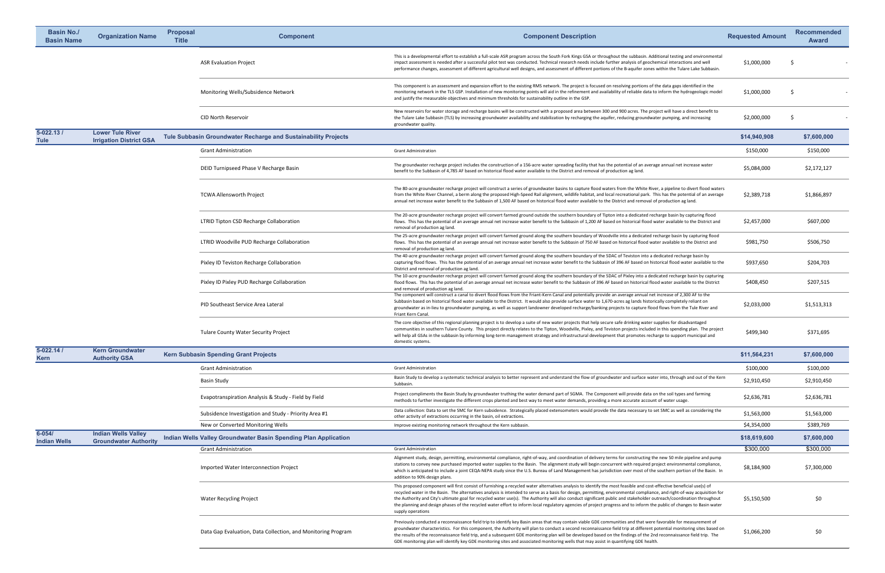| <b>Basin No./</b><br><b>Basin Name</b> | <b>Organization Name</b>                                   | <b>Proposal</b><br><b>Title</b> | <b>Component</b>                                                      | <b>Component Description</b>                                                                                                                                                                                                                                                                                                                                                                                                                                                                                                                                                                                                                                                                                               | <b>Requested Amount</b> | Recommend<br><b>Award</b> |
|----------------------------------------|------------------------------------------------------------|---------------------------------|-----------------------------------------------------------------------|----------------------------------------------------------------------------------------------------------------------------------------------------------------------------------------------------------------------------------------------------------------------------------------------------------------------------------------------------------------------------------------------------------------------------------------------------------------------------------------------------------------------------------------------------------------------------------------------------------------------------------------------------------------------------------------------------------------------------|-------------------------|---------------------------|
|                                        |                                                            |                                 | <b>ASR Evaluation Project</b>                                         | This is a developmental effort to establish a full-scale ASR program across the South Fork Kings GSA or throughout the subbasin. Additional testing and environmental<br>impact assessment is needed after a successful pilot test was conducted. Technical research needs include further analysis of geochemical interactions and well<br>performance changes, assessment of different agricultural well designs, and assessment of different portions of the B-aquifer zones within the Tulare Lake Subbasin.                                                                                                                                                                                                           | \$1,000,000             |                           |
|                                        |                                                            |                                 | Monitoring Wells/Subsidence Network                                   | This component is an assessment and expansion effort to the existing RMS network. The project is focused on resolving portions of the data gaps identified in the<br>monitoring network in the TLS GSP. Installation of new monitoring points will aid in the refinement and availability of reliable data to inform the hydrogeologic model<br>and justify the measurable objectives and minimum thresholds for sustainability outline in the GSP.                                                                                                                                                                                                                                                                        | \$1,000,000             |                           |
|                                        |                                                            |                                 | <b>CID North Reservoir</b>                                            | New reservoirs for water storage and recharge basins will be constructed with a proposed area between 300 and 900 acres. The project will have a direct benefit to<br>the Tulare Lake Subbasin (TLS) by increasing groundwater availability and stabilization by recharging the aquifer, reducing groundwater pumping, and increasing<br>groundwater quality.                                                                                                                                                                                                                                                                                                                                                              | \$2,000,000             |                           |
| $5 - 022.13/$<br><b>Tule</b>           | <b>Lower Tule River</b><br><b>Irrigation District GSA</b>  |                                 | <b>Tule Subbasin Groundwater Recharge and Sustainability Projects</b> |                                                                                                                                                                                                                                                                                                                                                                                                                                                                                                                                                                                                                                                                                                                            | \$14,940,908            | \$7,600,000               |
|                                        |                                                            |                                 | <b>Grant Administration</b>                                           | <b>Grant Administration</b>                                                                                                                                                                                                                                                                                                                                                                                                                                                                                                                                                                                                                                                                                                | \$150,000               | \$150,000                 |
|                                        |                                                            |                                 | DEID Turnipseed Phase V Recharge Basin                                | The groundwater recharge project includes the construction of a 156-acre water spreading facility that has the potential of an average annual net increase water<br>benefit to the Subbasin of 4,785 AF based on historical flood water available to the District and removal of production ag land.                                                                                                                                                                                                                                                                                                                                                                                                                       | \$5,084,000             | \$2,172,127               |
|                                        |                                                            |                                 | <b>TCWA Allensworth Project</b>                                       | The 80-acre groundwater recharge project will construct a series of groundwater basins to capture flood waters from the White River, a pipeline to divert flood waters<br>from the White River Channel, a berm along the proposed High-Speed Rail alignment, wildlife habitat, and local recreational park. This has the potential of an average<br>annual net increase water benefit to the Subbasin of 1,500 AF based on historical flood water available to the District and removal of production ag land.                                                                                                                                                                                                             | \$2,389,718             | \$1,866,897               |
|                                        |                                                            |                                 | <b>LTRID Tipton CSD Recharge Collaboration</b>                        | The 20-acre groundwater recharge project will convert farmed ground outside the southern boundary of Tipton into a dedicated recharge basin by capturing flood<br>flows. This has the potential of an average annual net increase water benefit to the Subbasin of 1,200 AF based on historical flood water available to the District and<br>removal of production ag land.                                                                                                                                                                                                                                                                                                                                                | \$2,457,000             | \$607,000                 |
|                                        |                                                            |                                 | LTRID Woodville PUD Recharge Collaboration                            | The 25-acre groundwater recharge project will convert farmed ground along the southern boundary of Woodville into a dedicated recharge basin by capturing flood<br>flows. This has the potential of an average annual net increase water benefit to the Subbasin of 750 AF based on historical flood water available to the District and<br>removal of production ag land.                                                                                                                                                                                                                                                                                                                                                 | \$981,750               | \$506,750                 |
|                                        |                                                            |                                 | Pixley ID Teviston Recharge Collaboration                             | The 40-acre groundwater recharge project will convert farmed ground along the southern boundary of the SDAC of Teviston into a dedicated recharge basin by<br>capturing flood flows. This has the potential of an average annual net increase water benefit to the Subbasin of 396 AF based on historical flood water available to the<br>District and removal of production ag land.                                                                                                                                                                                                                                                                                                                                      | \$937,650               | \$204,703                 |
|                                        |                                                            |                                 | Pixley ID Pixley PUD Recharge Collaboration                           | The 10-acre groundwater recharge project will convert farmed ground along the southern boundary of the SDAC of Pixley into a dedicated recharge basin by capturing<br>flood flows. This has the potential of an average annual net increase water benefit to the Subbasin of 396 AF based on historical flood water available to the District<br>and removal of production ag land.                                                                                                                                                                                                                                                                                                                                        | \$408,450               | \$207,515                 |
|                                        |                                                            |                                 | PID Southeast Service Area Lateral                                    | The component will construct a canal to divert flood flows from the Friant-Kern Canal and potentially provide an average annual net increase of 2,300 AF to the<br>Subbasin based on historical flood water available to the District. It would also provide surface water to 1,670-acres ag lands historically completely reliant on<br>groundwater as in-lieu to groundwater pumping, as well as support landowner developed recharge/banking projects to capture flood flows from the Tule River and<br>Friant Kern Canal.                                                                                                                                                                                              | \$2,033,000             | \$1,513,313               |
|                                        |                                                            |                                 | <b>Tulare County Water Security Project</b>                           | The core objective of this regional planning project is to develop a suite of new water projects that help secure safe drinking water supplies for disadvantaged<br>communities in southern Tulare County. This project directly relates to the Tipton, Woodville, Pixley, and Teviston projects included in this spending plan. The project<br>will help all GSAs in the subbasin by informing long-term management strategy and infrastructural development that promotes recharge to support municipal and<br>domestic systems.                                                                                                                                                                                         | \$499,340               | \$371,695                 |
| $5 - 022.141$<br><b>Kern</b>           | <b>Kern Groundwater</b><br><b>Authority GSA</b>            |                                 | <b>Kern Subbasin Spending Grant Projects</b>                          |                                                                                                                                                                                                                                                                                                                                                                                                                                                                                                                                                                                                                                                                                                                            | \$11,564,231            | \$7,600,000               |
|                                        |                                                            |                                 | <b>Grant Administration</b>                                           | <b>Grant Administration</b>                                                                                                                                                                                                                                                                                                                                                                                                                                                                                                                                                                                                                                                                                                | \$100,000               | \$100,000                 |
|                                        |                                                            |                                 | <b>Basin Study</b>                                                    | Basin Study to develop a systematic technical analysis to better represent and understand the flow of groundwater and surface water into, through and out of the Kern<br>Subbasin.                                                                                                                                                                                                                                                                                                                                                                                                                                                                                                                                         | \$2,910,450             | \$2,910,450               |
|                                        |                                                            |                                 | Evapotranspiration Analysis & Study - Field by Field                  | Project compliments the Basin Study by groundwater truthing the water demand part of SGMA. The Component will provide data on the soil types and farming<br>methods to further investigate the different crops planted and best way to meet water demands, providing a more accurate account of water usage.                                                                                                                                                                                                                                                                                                                                                                                                               | \$2,636,781             | \$2,636,781               |
|                                        |                                                            |                                 | Subsidence Investigation and Study - Priority Area #1                 | Data collection: Data to set the SMC for Kern subsidence. Strategically placed extensometers would provide the data necessary to set SMC as well as considering the<br>other activity of extractions occurring in the basin, oil extractions.                                                                                                                                                                                                                                                                                                                                                                                                                                                                              | \$1,563,000             | \$1,563,000               |
|                                        |                                                            |                                 | New or Converted Monitoring Wells                                     | Improve existing monitoring network throughout the Kern subbasin.                                                                                                                                                                                                                                                                                                                                                                                                                                                                                                                                                                                                                                                          | \$4,354,000             | \$389,769                 |
| $6 - 054/$<br><b>Indian Wells</b>      | <b>Indian Wells Valley</b><br><b>Groundwater Authority</b> |                                 | Indian Wells Valley Groundwater Basin Spending Plan Application       |                                                                                                                                                                                                                                                                                                                                                                                                                                                                                                                                                                                                                                                                                                                            | \$18,619,600            | \$7,600,000               |
|                                        |                                                            |                                 | <b>Grant Administration</b>                                           | <b>Grant Administration</b>                                                                                                                                                                                                                                                                                                                                                                                                                                                                                                                                                                                                                                                                                                | \$300,000               | \$300,000                 |
|                                        |                                                            |                                 | Imported Water Interconnection Project                                | Alignment study, design, permitting, environmental compliance, right-of-way, and coordination of delivery terms for constructing the new 50 mile pipeline and pump<br>stations to convey new purchased imported water supplies to the Basin. The alignment study will begin concurrent with required project environmental compliance,<br>which is anticipated to include a joint CEQA-NEPA study since the U.S. Bureau of Land Management has jurisdiction over most of the southern portion of the Basin. In<br>addition to 90% design plans.                                                                                                                                                                            | \$8,184,900             | \$7,300,000               |
|                                        |                                                            |                                 | <b>Water Recycling Project</b>                                        | This proposed component will first consist of furnishing a recycled water alternatives analysis to identify the most feasible and cost-effective beneficial use(s) of<br>recycled water in the Basin. The alternatives analysis is intended to serve as a basis for design, permitting, environmental compliance, and right-of-way acquisition for<br>the Authority and City's ultimate goal for recycled water use(s). The Authority will also conduct significant public and stakeholder outreach/coordination throughout<br>the planning and design phases of the recycled water effort to inform local regulatory agencies of project progress and to inform the public of changes to Basin water<br>supply operations | \$5,150,500             | \$0                       |
|                                        |                                                            |                                 | Data Gap Evaluation, Data Collection, and Monitoring Program          | Previously conducted a reconnaissance field trip to identify key Basin areas that may contain viable GDE communities and that were favorable for measurement of<br>groundwater characteristics. For this component, the Authority will plan to conduct a second reconnaissance field trip at different potential monitoring sites based on<br>the results of the reconnaissance field trip, and a subsequent GDE monitoring plan will be developed based on the findings of the 2nd reconnaissance field trip. The<br>GDE monitoring plan will identify key GDE monitoring sites and associated monitoring wells that may assist in quantifying GDE health.                                                                | \$1,066,200             | \$0                       |
|                                        |                                                            |                                 |                                                                       |                                                                                                                                                                                                                                                                                                                                                                                                                                                                                                                                                                                                                                                                                                                            |                         |                           |

| oposal<br>Title | <b>Component</b>                                                 | <b>Component Description</b>                                                                                                                                                                                                                                                                                                                                                                                                                                                                                                                                                                                                                                                                                               | <b>Requested Amount</b> | <b>Recommended</b><br><b>Award</b> |
|-----------------|------------------------------------------------------------------|----------------------------------------------------------------------------------------------------------------------------------------------------------------------------------------------------------------------------------------------------------------------------------------------------------------------------------------------------------------------------------------------------------------------------------------------------------------------------------------------------------------------------------------------------------------------------------------------------------------------------------------------------------------------------------------------------------------------------|-------------------------|------------------------------------|
|                 | <b>ASR Evaluation Project</b>                                    | This is a developmental effort to establish a full-scale ASR program across the South Fork Kings GSA or throughout the subbasin. Additional testing and environmental<br>impact assessment is needed after a successful pilot test was conducted. Technical research needs include further analysis of geochemical interactions and well<br>performance changes, assessment of different agricultural well designs, and assessment of different portions of the B-aquifer zones within the Tulare Lake Subbasin.                                                                                                                                                                                                           | \$1,000,000             | S                                  |
|                 | Monitoring Wells/Subsidence Network                              | This component is an assessment and expansion effort to the existing RMS network. The project is focused on resolving portions of the data gaps identified in the<br>monitoring network in the TLS GSP. Installation of new monitoring points will aid in the refinement and availability of reliable data to inform the hydrogeologic model<br>and justify the measurable objectives and minimum thresholds for sustainability outline in the GSP.                                                                                                                                                                                                                                                                        | \$1,000,000             | S                                  |
|                 | <b>CID North Reservoir</b>                                       | New reservoirs for water storage and recharge basins will be constructed with a proposed area between 300 and 900 acres. The project will have a direct benefit to<br>the Tulare Lake Subbasin (TLS) by increasing groundwater availability and stabilization by recharging the aquifer, reducing groundwater pumping, and increasing<br>groundwater quality.                                                                                                                                                                                                                                                                                                                                                              | \$2,000,000             | S                                  |
|                 | <b>Subbasin Groundwater Recharge and Sustainability Projects</b> |                                                                                                                                                                                                                                                                                                                                                                                                                                                                                                                                                                                                                                                                                                                            | \$14,940,908            | \$7,600,000                        |
|                 | <b>Grant Administration</b>                                      | <b>Grant Administration</b>                                                                                                                                                                                                                                                                                                                                                                                                                                                                                                                                                                                                                                                                                                | \$150,000               | \$150,000                          |
|                 | DEID Turnipseed Phase V Recharge Basin                           | The groundwater recharge project includes the construction of a 156-acre water spreading facility that has the potential of an average annual net increase water<br>benefit to the Subbasin of 4,785 AF based on historical flood water available to the District and removal of production ag land.                                                                                                                                                                                                                                                                                                                                                                                                                       | \$5,084,000             | \$2,172,127                        |
|                 | <b>TCWA Allensworth Project</b>                                  | The 80-acre groundwater recharge project will construct a series of groundwater basins to capture flood waters from the White River, a pipeline to divert flood waters<br>from the White River Channel, a berm along the proposed High-Speed Rail alignment, wildlife habitat, and local recreational park. This has the potential of an average<br>annual net increase water benefit to the Subbasin of 1,500 AF based on historical flood water available to the District and removal of production ag land.                                                                                                                                                                                                             | \$2,389,718             | \$1,866,897                        |
|                 | LTRID Tipton CSD Recharge Collaboration                          | The 20-acre groundwater recharge project will convert farmed ground outside the southern boundary of Tipton into a dedicated recharge basin by capturing flood<br>flows. This has the potential of an average annual net increase water benefit to the Subbasin of 1,200 AF based on historical flood water available to the District and<br>removal of production ag land.                                                                                                                                                                                                                                                                                                                                                | \$2,457,000             | \$607,000                          |
|                 | LTRID Woodville PUD Recharge Collaboration                       | The 25-acre groundwater recharge project will convert farmed ground along the southern boundary of Woodville into a dedicated recharge basin by capturing flood<br>flows. This has the potential of an average annual net increase water benefit to the Subbasin of 750 AF based on historical flood water available to the District and<br>removal of production ag land.                                                                                                                                                                                                                                                                                                                                                 | \$981,750               | \$506,750                          |
|                 | Pixley ID Teviston Recharge Collaboration                        | The 40-acre groundwater recharge project will convert farmed ground along the southern boundary of the SDAC of Teviston into a dedicated recharge basin by<br>capturing flood flows. This has the potential of an average annual net increase water benefit to the Subbasin of 396 AF based on historical flood water available to the<br>District and removal of production ag land.                                                                                                                                                                                                                                                                                                                                      | \$937,650               | \$204,703                          |
|                 | Pixley ID Pixley PUD Recharge Collaboration                      | The 10-acre groundwater recharge project will convert farmed ground along the southern boundary of the SDAC of Pixley into a dedicated recharge basin by capturing<br>flood flows. This has the potential of an average annual net increase water benefit to the Subbasin of 396 AF based on historical flood water available to the District<br>and removal of production ag land.                                                                                                                                                                                                                                                                                                                                        | \$408,450               | \$207,515                          |
|                 | PID Southeast Service Area Lateral                               | The component will construct a canal to divert flood flows from the Friant-Kern Canal and potentially provide an average annual net increase of 2,300 AF to the<br>Subbasin based on historical flood water available to the District. It would also provide surface water to 1,670-acres ag lands historically completely reliant on<br>groundwater as in-lieu to groundwater pumping, as well as support landowner developed recharge/banking projects to capture flood flows from the Tule River and<br>Friant Kern Canal.                                                                                                                                                                                              | \$2,033,000             | \$1,513,313                        |
|                 | <b>Tulare County Water Security Project</b>                      | The core objective of this regional planning project is to develop a suite of new water projects that help secure safe drinking water supplies for disadvantaged<br>communities in southern Tulare County. This project directly relates to the Tipton, Woodville, Pixley, and Teviston projects included in this spending plan. The project<br>will help all GSAs in the subbasin by informing long-term management strategy and infrastructural development that promotes recharge to support municipal and<br>domestic systems.                                                                                                                                                                                         | \$499,340               | \$371,695                          |
|                 | n Subbasin Spending Grant Projects                               |                                                                                                                                                                                                                                                                                                                                                                                                                                                                                                                                                                                                                                                                                                                            | \$11,564,231            | \$7,600,000                        |
|                 | <b>Grant Administration</b>                                      | <b>Grant Administration</b>                                                                                                                                                                                                                                                                                                                                                                                                                                                                                                                                                                                                                                                                                                | \$100,000               | \$100,000                          |
|                 | <b>Basin Study</b>                                               | Basin Study to develop a systematic technical analysis to better represent and understand the flow of groundwater and surface water into, through and out of the Kern<br>Subbasin.                                                                                                                                                                                                                                                                                                                                                                                                                                                                                                                                         | \$2,910,450             | \$2,910,450                        |
|                 | Evapotranspiration Analysis & Study - Field by Field             | Project compliments the Basin Study by groundwater truthing the water demand part of SGMA. The Component will provide data on the soil types and farming<br>methods to further investigate the different crops planted and best way to meet water demands, providing a more accurate account of water usage.                                                                                                                                                                                                                                                                                                                                                                                                               | \$2,636,781             | \$2,636,781                        |
|                 | Subsidence Investigation and Study - Priority Area #1            | Data collection: Data to set the SMC for Kern subsidence. Strategically placed extensometers would provide the data necessary to set SMC as well as considering the<br>other activity of extractions occurring in the basin, oil extractions.                                                                                                                                                                                                                                                                                                                                                                                                                                                                              | \$1,563,000             | \$1,563,000                        |
|                 | New or Converted Monitoring Wells                                | Improve existing monitoring network throughout the Kern subbasin.                                                                                                                                                                                                                                                                                                                                                                                                                                                                                                                                                                                                                                                          | \$4,354,000             | \$389,769                          |
|                 | an Wells Valley Groundwater Basin Spending Plan Application      |                                                                                                                                                                                                                                                                                                                                                                                                                                                                                                                                                                                                                                                                                                                            | \$18,619,600            | \$7,600,000                        |
|                 | <b>Grant Administration</b>                                      | <b>Grant Administration</b>                                                                                                                                                                                                                                                                                                                                                                                                                                                                                                                                                                                                                                                                                                | \$300,000               | \$300,000                          |
|                 | Imported Water Interconnection Project                           | Alignment study, design, permitting, environmental compliance, right-of-way, and coordination of delivery terms for constructing the new 50 mile pipeline and pump<br>stations to convey new purchased imported water supplies to the Basin. The alignment study will begin concurrent with required project environmental compliance,<br>which is anticipated to include a joint CEQA-NEPA study since the U.S. Bureau of Land Management has jurisdiction over most of the southern portion of the Basin. In<br>addition to 90% design plans.                                                                                                                                                                            | \$8,184,900             | \$7,300,000                        |
|                 | <b>Water Recycling Project</b>                                   | This proposed component will first consist of furnishing a recycled water alternatives analysis to identify the most feasible and cost-effective beneficial use(s) of<br>recycled water in the Basin. The alternatives analysis is intended to serve as a basis for design, permitting, environmental compliance, and right-of-way acquisition for<br>the Authority and City's ultimate goal for recycled water use(s). The Authority will also conduct significant public and stakeholder outreach/coordination throughout<br>the planning and design phases of the recycled water effort to inform local regulatory agencies of project progress and to inform the public of changes to Basin water<br>supply operations | \$5,150,500             | \$0                                |
|                 | Data Gap Evaluation, Data Collection, and Monitoring Program     | Previously conducted a reconnaissance field trip to identify key Basin areas that may contain viable GDE communities and that were favorable for measurement of<br>groundwater characteristics. For this component, the Authority will plan to conduct a second reconnaissance field trip at different potential monitoring sites based on<br>the results of the reconnaissance field trip, and a subsequent GDE monitoring plan will be developed based on the findings of the 2nd reconnaissance field trip. The<br>GDE monitoring plan will identify key GDE monitoring sites and associated monitoring wells that may assist in quantifying GDE health.                                                                | \$1,066,200             | \$0                                |